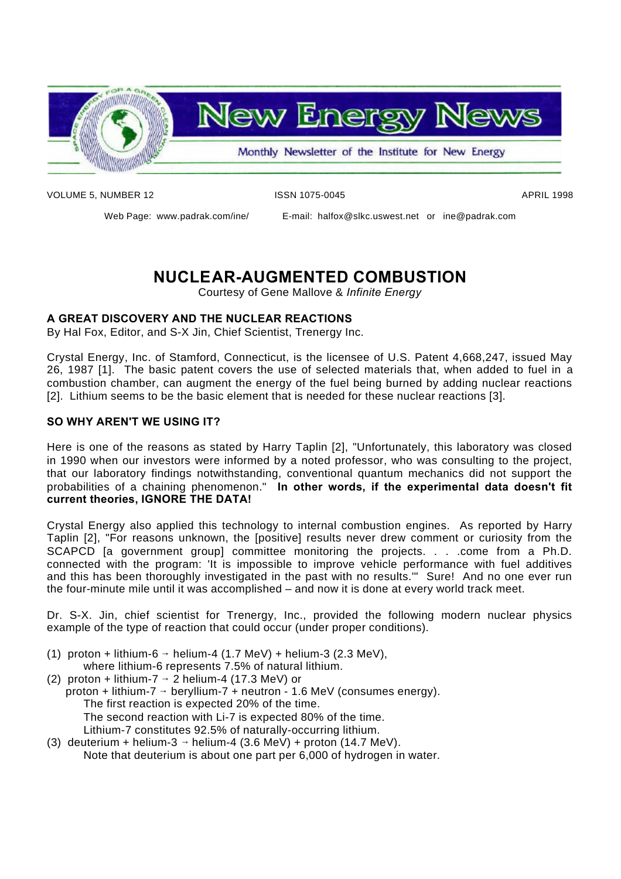

VOLUME 5, NUMBER 12 **ISSN 1075-0045** APRIL 1998

Web Page: www.padrak.com/ine/ E-mail: halfox@slkc.uswest.net or ine@padrak.com

## **NUCLEAR-AUGMENTED COMBUSTION**

Courtesy of Gene Mallove & *Infinite Energy*

#### **A GREAT DISCOVERY AND THE NUCLEAR REACTIONS**

By Hal Fox, Editor, and S-X Jin, Chief Scientist, Trenergy Inc.

Crystal Energy, Inc. of Stamford, Connecticut, is the licensee of U.S. Patent 4,668,247, issued May 26, 1987 [1]. The basic patent covers the use of selected materials that, when added to fuel in a combustion chamber, can augment the energy of the fuel being burned by adding nuclear reactions [2]. Lithium seems to be the basic element that is needed for these nuclear reactions [3].

#### **SO WHY AREN'T WE USING IT?**

Here is one of the reasons as stated by Harry Taplin [2], "Unfortunately, this laboratory was closed in 1990 when our investors were informed by a noted professor, who was consulting to the project, that our laboratory findings notwithstanding, conventional quantum mechanics did not support the probabilities of a chaining phenomenon." **In other words, if the experimental data doesn't fit current theories, IGNORE THE DATA!**

Crystal Energy also applied this technology to internal combustion engines. As reported by Harry Taplin [2], "For reasons unknown, the [positive] results never drew comment or curiosity from the SCAPCD [a government group] committee monitoring the projects. . . .come from a Ph.D. connected with the program: 'It is impossible to improve vehicle performance with fuel additives and this has been thoroughly investigated in the past with no results.'" Sure! And no one ever run the four-minute mile until it was accomplished – and now it is done at every world track meet.

Dr. S-X. Jin, chief scientist for Trenergy, Inc., provided the following modern nuclear physics example of the type of reaction that could occur (under proper conditions).

- (1) proton + lithium-6  $\rightarrow$  helium-4 (1.7 MeV) + helium-3 (2.3 MeV), where lithium-6 represents 7.5% of natural lithium.
- (2) proton + lithium-7  $\rightarrow$  2 helium-4 (17.3 MeV) or proton + lithium-7  $\rightarrow$  beryllium-7 + neutron - 1.6 MeV (consumes energy). The first reaction is expected 20% of the time. The second reaction with Li-7 is expected 80% of the time. Lithium-7 constitutes 92.5% of naturally-occurring lithium.
- (3) deuterium + helium-3  $\rightarrow$  helium-4 (3.6 MeV) + proton (14.7 MeV). Note that deuterium is about one part per 6,000 of hydrogen in water.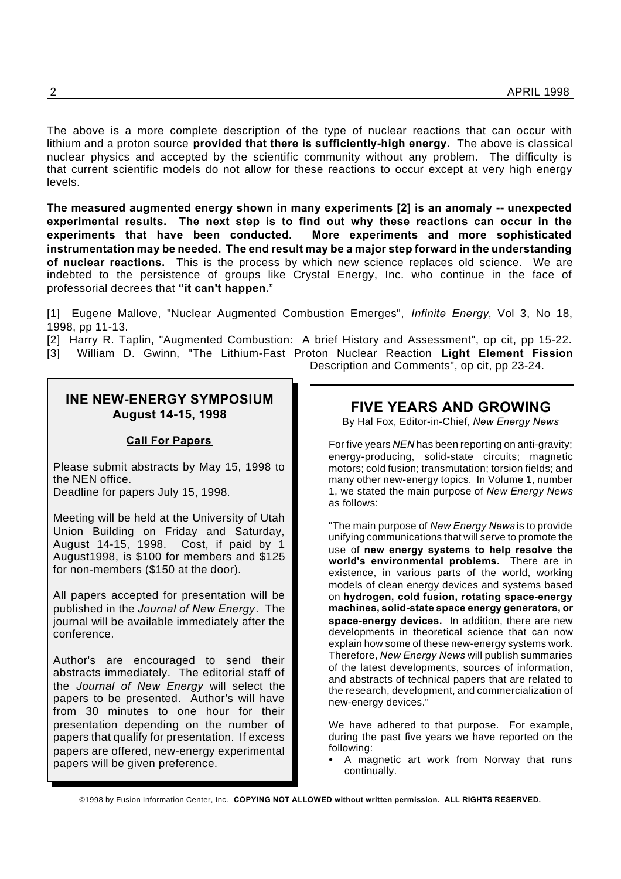The above is a more complete description of the type of nuclear reactions that can occur with lithium and a proton source **provided that there is sufficiently-high energy.** The above is classical nuclear physics and accepted by the scientific community without any problem. The difficulty is that current scientific models do not allow for these reactions to occur except at very high energy levels.

**The measured augmented energy shown in many experiments [2] is an anomaly -- unexpected experimental results. The next step is to find out why these reactions can occur in the experiments that have been conducted. More experiments and more sophisticated instrumentation may be needed. The end result may be a major step forward in the understanding of nuclear reactions.** This is the process by which new science replaces old science. We are indebted to the persistence of groups like Crystal Energy, Inc. who continue in the face of professorial decrees that **"it can't happen.**"

[1] Eugene Mallove, "Nuclear Augmented Combustion Emerges", *Infinite Energy*, Vol 3, No 18, 1998, pp 11-13.

[2] Harry R. Taplin, "Augmented Combustion: A brief History and Assessment", op cit, pp 15-22.

[3] William D. Gwinn, "The Lithium-Fast Proton Nuclear Reaction **Light Element Fission**

**INE NEW-ENERGY SYMPOSIUM August 14-15, 1998**

#### **Call For Papers**

Please submit abstracts by May 15, 1998 to the NEN office.

Deadline for papers July 15, 1998.

Meeting will be held at the University of Utah Union Building on Friday and Saturday, August 14-15, 1998. Cost, if paid by 1 August1998, is \$100 for members and \$125 for non-members (\$150 at the door).

All papers accepted for presentation will be published in the *Journal of New Energy*. The journal will be available immediately after the conference.

Author's are encouraged to send their abstracts immediately. The editorial staff of the *Journal of New Energy* will select the papers to be presented. Author's will have from 30 minutes to one hour for their presentation depending on the number of papers that qualify for presentation. If excess papers are offered, new-energy experimental papers will be given preference.

**FIVE YEARS AND GROWING**

Description and Comments", op cit, pp 23-24.

By Hal Fox, Editor-in-Chief, *New Energy News*

For five years *NEN* has been reporting on anti-gravity; energy-producing, solid-state circuits; magnetic motors; cold fusion; transmutation; torsion fields; and many other new-energy topics. In Volume 1, number 1, we stated the main purpose of *New Energy News* as follows:

"The main purpose of *New Energy News* is to provide unifying communications that will serve to promote the use of **new energy systems to help resolve the world's environmental problems.** There are in existence, in various parts of the world, working models of clean energy devices and systems based on **hydrogen, cold fusion, rotating space-energy machines, solid-state space energy generators, or space-energy devices.** In addition, there are new developments in theoretical science that can now explain how some of these new-energy systems work. Therefore, *New Energy News* will publish summaries of the latest developments, sources of information, and abstracts of technical papers that are related to the research, development, and commercialization of new-energy devices."

We have adhered to that purpose. For example, during the past five years we have reported on the following:

 A magnetic art work from Norway that runs continually.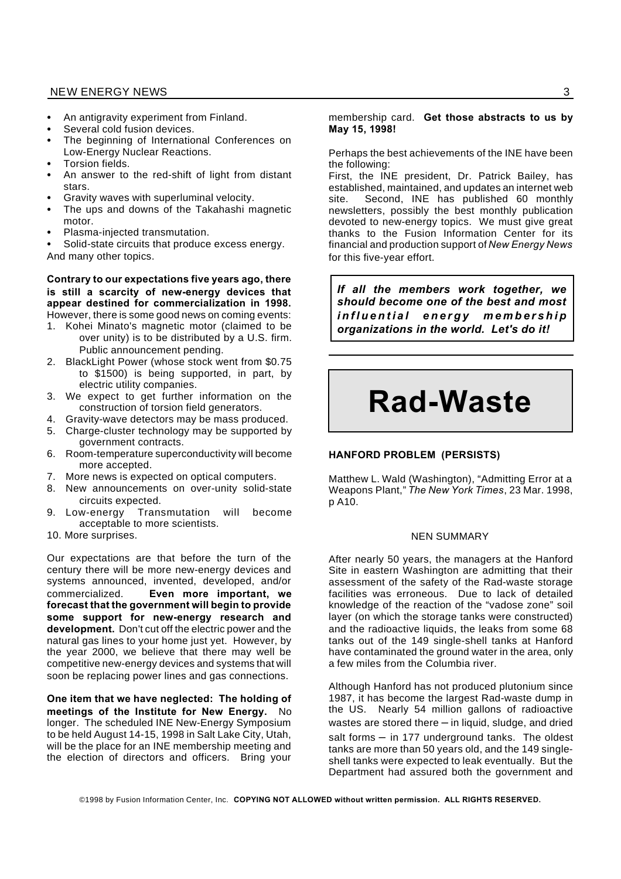- An antigravity experiment from Finland.
- Several cold fusion devices.
- The beginning of International Conferences on Low-Energy Nuclear Reactions.
- Torsion fields.
- An answer to the red-shift of light from distant stars.
- Gravity waves with superluminal velocity.
- The ups and downs of the Takahashi magnetic motor.
- Plasma-injected transmutation.
- Solid-state circuits that produce excess energy. And many other topics.

#### **Contrary to our expectations five years ago, there is still a scarcity of new-energy devices that appear destined for commercialization in 1998.** However, there is some good news on coming events:

- 1. Kohei Minato's magnetic motor (claimed to be over unity) is to be distributed by a U.S. firm. Public announcement pending.
- 2. BlackLight Power (whose stock went from \$0.75 to \$1500) is being supported, in part, by electric utility companies.
- 3. We expect to get further information on the construction of torsion field generators.
- 4. Gravity-wave detectors may be mass produced.
- 5. Charge-cluster technology may be supported by government contracts.
- 6. Room-temperature superconductivity will become more accepted.
- 7. More news is expected on optical computers.
- 8. New announcements on over-unity solid-state circuits expected.
- 9. Low-energy Transmutation will become acceptable to more scientists.
- 10. More surprises.

Our expectations are that before the turn of the century there will be more new-energy devices and systems announced, invented, developed, and/or commercialized. **Even more important, we forecast that the government will begin to provide some support for new-energy research and development.** Don't cut off the electric power and the natural gas lines to your home just yet. However, by the year 2000, we believe that there may well be competitive new-energy devices and systems that will soon be replacing power lines and gas connections.

**One item that we have neglected: The holding of meetings of the Institute for New Energy.** No longer. The scheduled INE New-Energy Symposium to be held August 14-15, 1998 in Salt Lake City, Utah, will be the place for an INE membership meeting and the election of directors and officers. Bring your

#### membership card. **Get those abstracts to us by May 15, 1998!**

Perhaps the best achievements of the INE have been the following:

First, the INE president, Dr. Patrick Bailey, has established, maintained, and updates an internet web site. Second, INE has published 60 monthly newsletters, possibly the best monthly publication devoted to new-energy topics. We must give great thanks to the Fusion Information Center for its financial and production support of *New Energy News* for this five-year effort.

*If all the members work together, we should become one of the best and most i n f l u e n t i a l e n e r g y m e m b e r s h i p organizations in the world. Let's do it!*

# **Rad-Waste**

#### **HANFORD PROBLEM (PERSISTS)**

Matthew L. Wald (Washington), "Admitting Error at a Weapons Plant," *The New York Times*, 23 Mar. 1998, p A10.

#### NEN SUMMARY

After nearly 50 years, the managers at the Hanford Site in eastern Washington are admitting that their assessment of the safety of the Rad-waste storage facilities was erroneous. Due to lack of detailed knowledge of the reaction of the "vadose zone" soil layer (on which the storage tanks were constructed) and the radioactive liquids, the leaks from some 68 tanks out of the 149 single-shell tanks at Hanford have contaminated the ground water in the area, only a few miles from the Columbia river.

Although Hanford has not produced plutonium since 1987, it has become the largest Rad-waste dump in the US. Nearly 54 million gallons of radioactive wastes are stored there – in liquid, sludge, and dried salt forms – in 177 underground tanks. The oldest tanks are more than 50 years old, and the 149 singleshell tanks were expected to leak eventually. But the Department had assured both the government and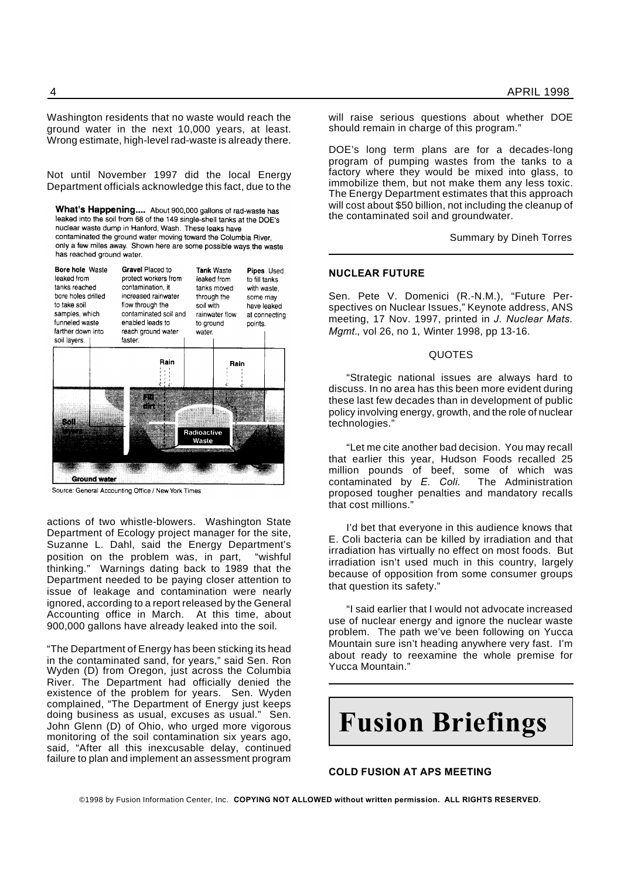Washington residents that no waste would reach the ground water in the next 10,000 years, at least. Wrong estimate, high-level rad-waste is already there.

Not until November 1997 did the local Energy Department officials acknowledge this fact, due to the

What's Happening.... About 900,000 gallons of rad-waste has leaked into the soil from 68 of the 149 single-shell tanks at the DOE's nuclear waste dump in Hanford, Wash. These leaks have contaminated the ground water moving toward the Columbia River. only a few miles away. Shown here are some possible ways the waste has reached ground water.

| <b>Bore hole Waste</b><br>leaked from<br>tanks reached<br>bore holes drilled<br>to take soil<br>samples, which<br>funneled waste<br>farther down into<br>soil layers. |                     | Gravel Placed to<br>protect workers from<br>contamination, it<br>increased rainwater<br>flow through the<br>contaminated soil and<br>enabled leads to<br>reach ground water<br>faster. |      | <b>Tank Waste</b><br>leaked from<br>tanks moved<br>through the<br>soil with<br>rainwater flow<br>to ground<br>water. |      | Pipes Used<br>to fill tanks<br>with waste,<br>some may<br>have leaked<br>at connecting<br>points. |  |
|-----------------------------------------------------------------------------------------------------------------------------------------------------------------------|---------------------|----------------------------------------------------------------------------------------------------------------------------------------------------------------------------------------|------|----------------------------------------------------------------------------------------------------------------------|------|---------------------------------------------------------------------------------------------------|--|
|                                                                                                                                                                       |                     |                                                                                                                                                                                        | Rain |                                                                                                                      | Rain |                                                                                                   |  |
| 861                                                                                                                                                                   |                     | E.<br>n en                                                                                                                                                                             |      | Radioactive<br>Waste                                                                                                 |      |                                                                                                   |  |
|                                                                                                                                                                       | <b>Ground water</b> |                                                                                                                                                                                        |      |                                                                                                                      |      |                                                                                                   |  |

Source: General Accounting Office / New York Times

actions of two whistle-blowers. Washington State Department of Ecology project manager for the site, Suzanne L. Dahl, said the Energy Department's position on the problem was, in part, "wishful thinking." Warnings dating back to 1989 that the Department needed to be paying closer attention to issue of leakage and contamination were nearly ignored, according to a report released by the General Accounting office in March. At this time, about 900,000 gallons have already leaked into the soil.

"The Department of Energy has been sticking its head in the contaminated sand, for years," said Sen. Ron Wyden (D) from Oregon, just across the Columbia River. The Department had officially denied the existence of the problem for years. Sen. Wyden complained, "The Department of Energy just keeps doing business as usual, excuses as usual." Sen. John Glenn (D) of Ohio, who urged more vigorous monitoring of the soil contamination six years ago, said, "After all this inexcusable delay, continued failure to plan and implement an assessment program

will raise serious questions about whether DOE should remain in charge of this program."

DOE's long term plans are for a decades-long program of pumping wastes from the tanks to a factory where they would be mixed into glass, to immobilize them, but not make them any less toxic. The Energy Department estimates that this approach will cost about \$50 billion, not including the cleanup of the contaminated soil and groundwater.

Summary by Dineh Torres

#### **NUCLEAR FUTURE**

Sen. Pete V. Domenici (R.-N.M.), "Future Perspectives on Nuclear Issues," Keynote address, ANS meeting, 17 Nov. 1997, printed in *J. Nuclear Mats. Mgmt.*, vol 26, no 1, Winter 1998, pp 13-16.

#### QUOTES

"Strategic national issues are always hard to discuss. In no area has this been more evident during these last few decades than in development of public policy involving energy, growth, and the role of nuclear technologies."

"Let me cite another bad decision. You may recall that earlier this year, Hudson Foods recalled 25 million pounds of beef, some of which was contaminated by *E. Coli.* The Administration proposed tougher penalties and mandatory recalls that cost millions."

I'd bet that everyone in this audience knows that E. Coli bacteria can be killed by irradiation and that irradiation has virtually no effect on most foods. But irradiation isn't used much in this country, largely because of opposition from some consumer groups that question its safety."

"I said earlier that I would not advocate increased use of nuclear energy and ignore the nuclear waste problem. The path we've been following on Yucca Mountain sure isn't heading anywhere very fast. I'm about ready to reexamine the whole premise for Yucca Mountain."



#### **COLD FUSION AT APS MEETING**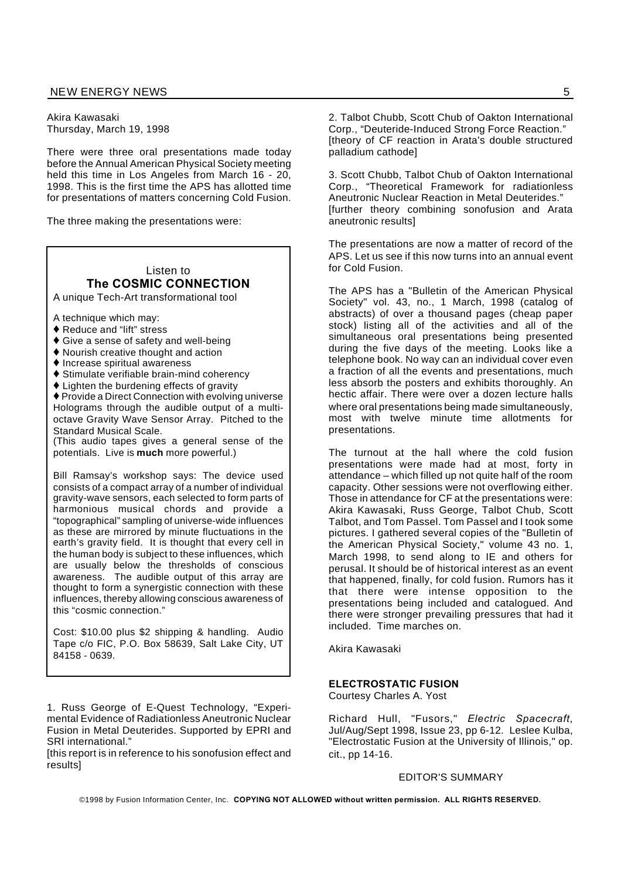Akira Kawasaki Thursday, March 19, 1998

There were three oral presentations made today before the Annual American Physical Society meeting held this time in Los Angeles from March 16 - 20, 1998. This is the first time the APS has allotted time for presentations of matters concerning Cold Fusion.

The three making the presentations were:

### Listen to **The COSMIC CONNECTION**

A unique Tech-Art transformational tool

A technique which may:

- ◆ Reduce and "lift" stress
- ◆ Give a sense of safety and well-being
- ♦ Nourish creative thought and action
- $\blacklozenge$  Increase spiritual awareness
- ◆ Stimulate verifiable brain-mind coherency
- Lighten the burdening effects of gravity

♦ Provide a Direct Connection with evolving universe Holograms through the audible output of a multioctave Gravity Wave Sensor Array. Pitched to the Standard Musical Scale.

(This audio tapes gives a general sense of the potentials. Live is **much** more powerful.)

Bill Ramsay's workshop says: The device used consists of a compact array of a number of individual gravity-wave sensors, each selected to form parts of harmonious musical chords and provide a "topographical" sampling of universe-wide influences as these are mirrored by minute fluctuations in the earth's gravity field. It is thought that every cell in the human body is subject to these influences, which are usually below the thresholds of conscious awareness. The audible output of this array are thought to form a synergistic connection with these influences, thereby allowing conscious awareness of this "cosmic connection."

Cost: \$10.00 plus \$2 shipping & handling. Audio Tape c/o FIC, P.O. Box 58639, Salt Lake City, UT 84158 - 0639.

1. Russ George of E-Quest Technology, "Experimental Evidence of Radiationless Aneutronic Nuclear Fusion in Metal Deuterides. Supported by EPRI and SRI international."

[this report is in reference to his sonofusion effect and results]

2. Talbot Chubb, Scott Chub of Oakton International Corp., "Deuteride-Induced Strong Force Reaction." [theory of CF reaction in Arata's double structured palladium cathode]

3. Scott Chubb, Talbot Chub of Oakton International Corp., "Theoretical Framework for radiationless Aneutronic Nuclear Reaction in Metal Deuterides." [further theory combining sonofusion and Arata aneutronic results]

The presentations are now a matter of record of the APS. Let us see if this now turns into an annual event for Cold Fusion.

The APS has a "Bulletin of the American Physical Society" vol. 43, no., 1 March, 1998 (catalog of abstracts) of over a thousand pages (cheap paper stock) listing all of the activities and all of the simultaneous oral presentations being presented during the five days of the meeting. Looks like a telephone book. No way can an individual cover even a fraction of all the events and presentations, much less absorb the posters and exhibits thoroughly. An hectic affair. There were over a dozen lecture halls where oral presentations being made simultaneously, most with twelve minute time allotments for presentations.

The turnout at the hall where the cold fusion presentations were made had at most, forty in attendance – which filled up not quite half of the room capacity. Other sessions were not overflowing either. Those in attendance for CF at the presentations were: Akira Kawasaki, Russ George, Talbot Chub, Scott Talbot, and Tom Passel. Tom Passel and I took some pictures. I gathered several copies of the "Bulletin of the American Physical Society," volume 43 no. 1, March 1998, to send along to IE and others for perusal. It should be of historical interest as an event that happened, finally, for cold fusion. Rumors has it that there were intense opposition to the presentations being included and catalogued. And there were stronger prevailing pressures that had it included. Time marches on.

Akira Kawasaki

#### **ELECTROSTATIC FUSION**

Courtesy Charles A. Yost

Richard Hull, "Fusors," *Electric Spacecraft*, Jul/Aug/Sept 1998, Issue 23, pp 6-12. Leslee Kulba, "Electrostatic Fusion at the University of Illinois," op. cit., pp 14-16.

#### EDITOR'S SUMMARY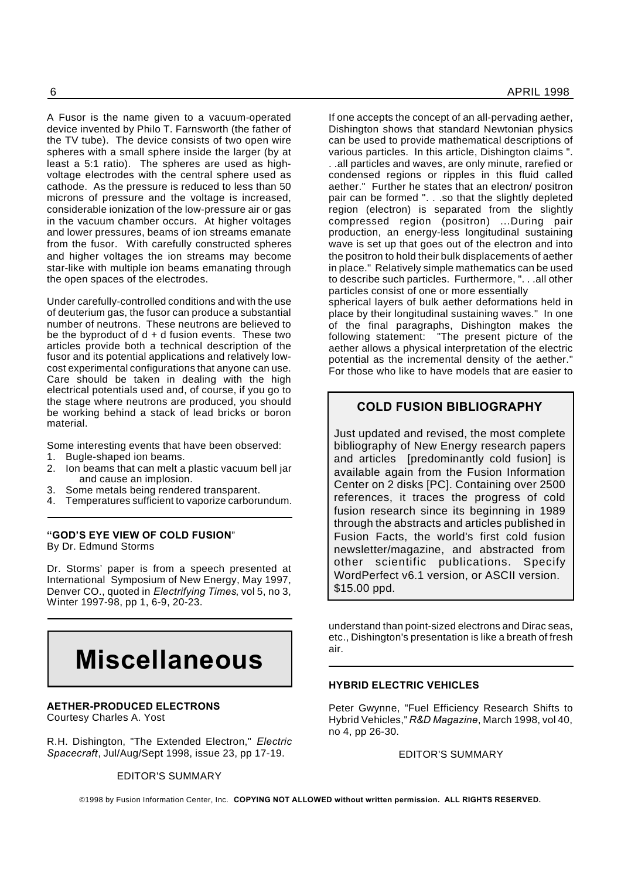A Fusor is the name given to a vacuum-operated device invented by Philo T. Farnsworth (the father of the TV tube). The device consists of two open wire spheres with a small sphere inside the larger (by at least a 5:1 ratio). The spheres are used as highvoltage electrodes with the central sphere used as cathode. As the pressure is reduced to less than 50 microns of pressure and the voltage is increased, considerable ionization of the low-pressure air or gas in the vacuum chamber occurs. At higher voltages and lower pressures, beams of ion streams emanate from the fusor. With carefully constructed spheres and higher voltages the ion streams may become star-like with multiple ion beams emanating through the open spaces of the electrodes.

Under carefully-controlled conditions and with the use of deuterium gas, the fusor can produce a substantial number of neutrons. These neutrons are believed to be the byproduct of  $d + d$  fusion events. These two articles provide both a technical description of the fusor and its potential applications and relatively lowcost experimental configurations that anyone can use. Care should be taken in dealing with the high electrical potentials used and, of course, if you go to the stage where neutrons are produced, you should be working behind a stack of lead bricks or boron material.

Some interesting events that have been observed:

- 1. Bugle-shaped ion beams.
- 2. Ion beams that can melt a plastic vacuum bell jar and cause an implosion.
- 3. Some metals being rendered transparent.
- 4. Temperatures sufficient to vaporize carborundum.

#### **"GOD'S EYE VIEW OF COLD FUSION**" By Dr. Edmund Storms

Dr. Storms' paper is from a speech presented at International Symposium of New Energy, May 1997, Denver CO., quoted in *Electrifying Times*, vol 5, no 3, Winter 1997-98, pp 1, 6-9, 20-23.



#### **AETHER-PRODUCED ELECTRONS**

Courtesy Charles A. Yost

R.H. Dishington, "The Extended Electron," *Electric Spacecraft*, Jul/Aug/Sept 1998, issue 23, pp 17-19.

EDITOR'S SUMMARY

If one accepts the concept of an all-pervading aether, Dishington shows that standard Newtonian physics can be used to provide mathematical descriptions of various particles. In this article, Dishington claims ". . .all particles and waves, are only minute, rarefied or condensed regions or ripples in this fluid called aether." Further he states that an electron/ positron pair can be formed ". . .so that the slightly depleted region (electron) is separated from the slightly compressed region (positron) ...During pair production, an energy-less longitudinal sustaining wave is set up that goes out of the electron and into the positron to hold their bulk displacements of aether in place." Relatively simple mathematics can be used to describe such particles. Furthermore, ". . .all other particles consist of one or more essentially

spherical layers of bulk aether deformations held in place by their longitudinal sustaining waves." In one of the final paragraphs, Dishington makes the following statement: "The present picture of the aether allows a physical interpretation of the electric potential as the incremental density of the aether." For those who like to have models that are easier to

#### **COLD FUSION BIBLIOGRAPHY**

Just updated and revised, the most complete bibliography of New Energy research papers and articles [predominantly cold fusion] is available again from the Fusion Information Center on 2 disks [PC]. Containing over 2500 references, it traces the progress of cold fusion research since its beginning in 1989 through the abstracts and articles published in Fusion Facts, the world's first cold fusion newsletter/magazine, and abstracted from other scientific publications. Specify WordPerfect v6.1 version, or ASCII version. \$15.00 ppd.

understand than point-sized electrons and Dirac seas, etc., Dishington's presentation is like a breath of fresh air.

#### **HYBRID ELECTRIC VEHICLES**

Peter Gwynne, "Fuel Efficiency Research Shifts to Hybrid Vehicles," *R&D Magazine*, March 1998, vol 40, no 4, pp 26-30.

#### EDITOR'S SUMMARY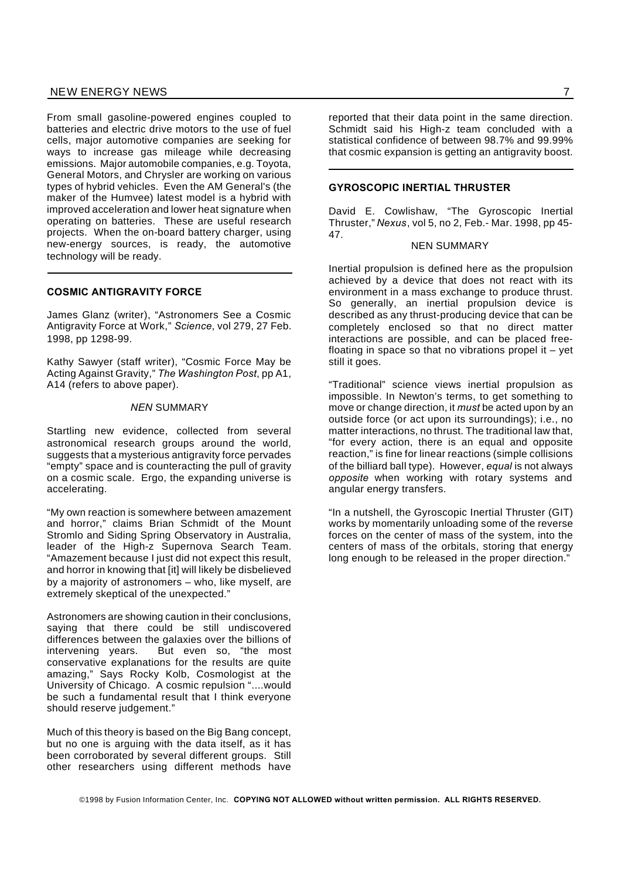#### NEW ENERGY NEWS 7 and 200 minutes and 200 minutes of the contract of the contract of the contract of the contract of the contract of the contract of the contract of the contract of the contract of the contract of the contr

From small gasoline-powered engines coupled to batteries and electric drive motors to the use of fuel cells, major automotive companies are seeking for ways to increase gas mileage while decreasing emissions. Major automobile companies, e.g. Toyota, General Motors, and Chrysler are working on various types of hybrid vehicles. Even the AM General's (the maker of the Humvee) latest model is a hybrid with improved acceleration and lower heat signature when operating on batteries. These are useful research projects. When the on-board battery charger, using new-energy sources, is ready, the automotive technology will be ready.

#### **COSMIC ANTIGRAVITY FORCE**

James Glanz (writer), "Astronomers See a Cosmic Antigravity Force at Work," *Science*, vol 279, 27 Feb. 1998, pp 1298-99.

Kathy Sawyer (staff writer), "Cosmic Force May be Acting Against Gravity," *The Washington Post*, pp A1, A14 (refers to above paper).

#### *NEN* SUMMARY

Startling new evidence, collected from several astronomical research groups around the world, suggests that a mysterious antigravity force pervades "empty" space and is counteracting the pull of gravity on a cosmic scale. Ergo, the expanding universe is accelerating.

"My own reaction is somewhere between amazement and horror," claims Brian Schmidt of the Mount Stromlo and Siding Spring Observatory in Australia, leader of the High-z Supernova Search Team. "Amazement because I just did not expect this result, and horror in knowing that [it] will likely be disbelieved by a majority of astronomers – who, like myself, are extremely skeptical of the unexpected."

Astronomers are showing caution in their conclusions, saying that there could be still undiscovered differences between the galaxies over the billions of intervening years. But even so, "the most conservative explanations for the results are quite amazing," Says Rocky Kolb, Cosmologist at the University of Chicago. A cosmic repulsion "....would be such a fundamental result that I think everyone should reserve judgement."

Much of this theory is based on the Big Bang concept, but no one is arguing with the data itself, as it has been corroborated by several different groups. Still other researchers using different methods have

reported that their data point in the same direction. Schmidt said his High-z team concluded with a statistical confidence of between 98.7% and 99.99% that cosmic expansion is getting an antigravity boost.

#### **GYROSCOPIC INERTIAL THRUSTER**

David E. Cowlishaw, "The Gyroscopic Inertial Thruster," *Nexus*, vol 5, no 2, Feb.- Mar. 1998, pp 45- 47.

#### NEN SUMMARY

Inertial propulsion is defined here as the propulsion achieved by a device that does not react with its environment in a mass exchange to produce thrust. So generally, an inertial propulsion device is described as any thrust-producing device that can be completely enclosed so that no direct matter interactions are possible, and can be placed freefloating in space so that no vibrations propel it  $-$  yet still it goes.

"Traditional" science views inertial propulsion as impossible. In Newton's terms, to get something to move or change direction, it *must* be acted upon by an outside force (or act upon its surroundings); i.e., no matter interactions, no thrust. The traditional law that, "for every action, there is an equal and opposite reaction," is fine for linear reactions (simple collisions of the billiard ball type). However, *equal* is not always *opposite* when working with rotary systems and angular energy transfers.

"In a nutshell, the Gyroscopic Inertial Thruster (GIT) works by momentarily unloading some of the reverse forces on the center of mass of the system, into the centers of mass of the orbitals, storing that energy long enough to be released in the proper direction."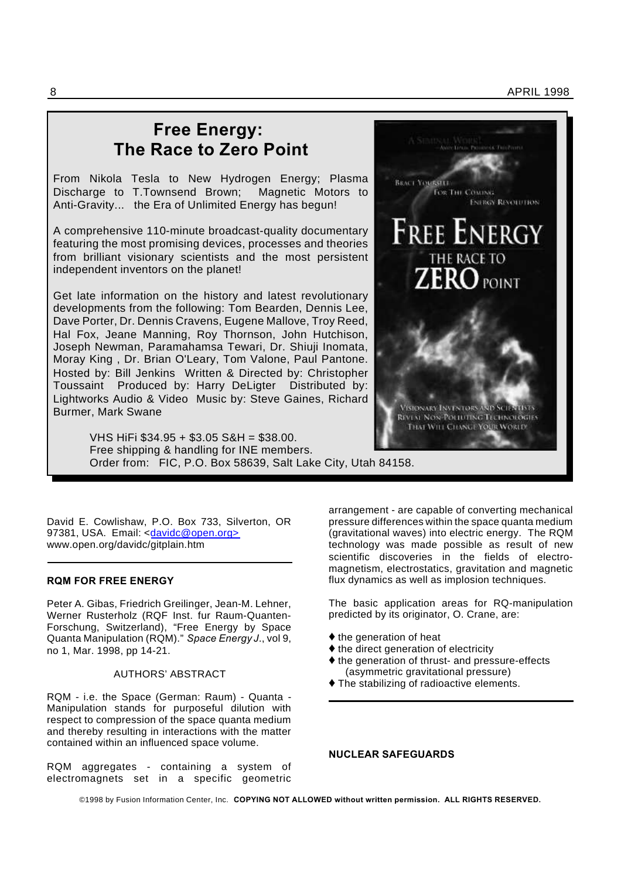8 APRIL 1998

## **Free Energy: The Race to Zero Point**

From Nikola Tesla to New Hydrogen Energy; Plasma Discharge to T.Townsend Brown; Magnetic Motors to Anti-Gravity... the Era of Unlimited Energy has begun!

A comprehensive 110-minute broadcast-quality documentary featuring the most promising devices, processes and theories from brilliant visionary scientists and the most persistent independent inventors on the planet!

Get late information on the history and latest revolutionary developments from the following: Tom Bearden, Dennis Lee, Dave Porter, Dr. Dennis Cravens, Eugene Mallove, Troy Reed, Hal Fox, Jeane Manning, Roy Thornson, John Hutchison, Joseph Newman, Paramahamsa Tewari, Dr. Shiuji Inomata, Moray King , Dr. Brian O'Leary, Tom Valone, Paul Pantone. Hosted by: Bill Jenkins Written & Directed by: Christopher Toussaint Produced by: Harry DeLigter Distributed by: Lightworks Audio & Video Music by: Steve Gaines, Richard Burmer, Mark Swane

> THAI WILL CHANGE YOUR WORLD! VHS HiFi \$34.95 + \$3.05 S&H = \$38.00. Free shipping & handling for INE members. Order from: FIC, P.O. Box 58639, Salt Lake City, Utah 84158.

David E. Cowlishaw, P.O. Box 733, Silverton, OR 97381, USA. Email: <davidc@open.org> www.open.org/davidc/gitplain.htm

#### **RQM FOR FREE ENERGY**

Peter A. Gibas, Friedrich Greilinger, Jean-M. Lehner, Werner Rusterholz (RQF Inst. fur Raum-Quanten-Forschung, Switzerland), "Free Energy by Space Quanta Manipulation (RQM)." *Space Energy J*., vol 9, no 1, Mar. 1998, pp 14-21.

#### AUTHORS' ABSTRACT

RQM - i.e. the Space (German: Raum) - Quanta - Manipulation stands for purposeful dilution with respect to compression of the space quanta medium and thereby resulting in interactions with the matter contained within an influenced space volume.

RQM aggregates - containing a system of electromagnets set in a specific geometric



The basic application areas for RQ-manipulation predicted by its originator, O. Crane, are:

- $\blacklozenge$  the generation of heat
- $\blacklozenge$  the direct generation of electricity
- $\triangle$  the generation of thrust- and pressure-effects (asymmetric gravitational pressure)
- The stabilizing of radioactive elements.

**BRACT YOURSELF** 

FOR THE COMPAG

**FREE ENERGY** 

THE RACE TO

VISIONARY INVENTORS AND SCIENTIST **REVENT NON-POLIUTING TECHNOLOGIES** 

**ENERGY REVOLUTION** 

 $\mathbf{J}_{\text{PONT}}$ 

**NUCLEAR SAFEGUARDS**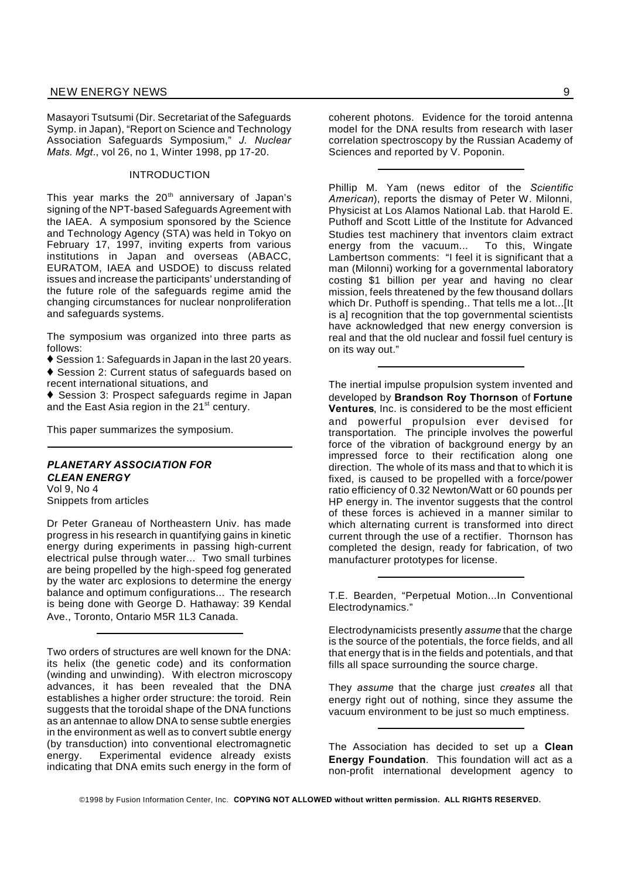Masayori Tsutsumi (Dir. Secretariat of the Safeguards Symp. in Japan), "Report on Science and Technology Association Safeguards Symposium," *J. Nuclear Mats. Mgt*., vol 26, no 1, Winter 1998, pp 17-20.

#### INTRODUCTION

This year marks the  $20<sup>th</sup>$  anniversary of Japan's signing of the NPT-based Safeguards Agreement with the IAEA. A symposium sponsored by the Science and Technology Agency (STA) was held in Tokyo on February 17, 1997, inviting experts from various institutions in Japan and overseas (ABACC, EURATOM, IAEA and USDOE) to discuss related issues and increase the participants' understanding of the future role of the safeguards regime amid the changing circumstances for nuclear nonproliferation and safeguards systems.

The symposium was organized into three parts as follows:

◆ Session 1: Safeguards in Japan in the last 20 years.

◆ Session 2: Current status of safeguards based on recent international situations, and

◆ Session 3: Prospect safeguards regime in Japan and the East Asia region in the 21<sup>st</sup> century.

This paper summarizes the symposium.

#### *PLANETARY ASSOCIATION FOR CLEAN ENERGY* Vol 9, No 4

Snippets from articles

Dr Peter Graneau of Northeastern Univ. has made progress in his research in quantifying gains in kinetic energy during experiments in passing high-current electrical pulse through water... Two small turbines are being propelled by the high-speed fog generated by the water arc explosions to determine the energy balance and optimum configurations... The research is being done with George D. Hathaway: 39 Kendal Ave., Toronto, Ontario M5R 1L3 Canada.

Two orders of structures are well known for the DNA: its helix (the genetic code) and its conformation (winding and unwinding). With electron microscopy advances, it has been revealed that the DNA establishes a higher order structure: the toroid. Rein suggests that the toroidal shape of the DNA functions as an antennae to allow DNA to sense subtle energies in the environment as well as to convert subtle energy (by transduction) into conventional electromagnetic energy. Experimental evidence already exists indicating that DNA emits such energy in the form of

coherent photons. Evidence for the toroid antenna model for the DNA results from research with laser correlation spectroscopy by the Russian Academy of Sciences and reported by V. Poponin.

Phillip M. Yam (news editor of the *Scientific American*), reports the dismay of Peter W. Milonni, Physicist at Los Alamos National Lab. that Harold E. Puthoff and Scott Little of the Institute for Advanced Studies test machinery that inventors claim extract energy from the vacuum... To this, Wingate Lambertson comments: "I feel it is significant that a man (Milonni) working for a governmental laboratory costing \$1 billion per year and having no clear mission, feels threatened by the few thousand dollars which Dr. Puthoff is spending.. That tells me a lot...[It is a] recognition that the top governmental scientists have acknowledged that new energy conversion is real and that the old nuclear and fossil fuel century is on its way out."

The inertial impulse propulsion system invented and developed by **Brandson Roy Thornson** of **Fortune Ventures**, Inc. is considered to be the most efficient and powerful propulsion ever devised for transportation. The principle involves the powerful force of the vibration of background energy by an impressed force to their rectification along one direction. The whole of its mass and that to which it is fixed, is caused to be propelled with a force/power ratio efficiency of 0.32 Newton/Watt or 60 pounds per HP energy in. The inventor suggests that the control of these forces is achieved in a manner similar to which alternating current is transformed into direct current through the use of a rectifier. Thornson has completed the design, ready for fabrication, of two manufacturer prototypes for license.

T.E. Bearden, "Perpetual Motion...In Conventional Electrodynamics."

Electrodynamicists presently *assume* that the charge is the source of the potentials, the force fields, and all that energy that is in the fields and potentials, and that fills all space surrounding the source charge.

They *assume* that the charge just *creates* all that energy right out of nothing, since they assume the vacuum environment to be just so much emptiness.

The Association has decided to set up a **Clean Energy Foundation**. This foundation will act as a non-profit international development agency to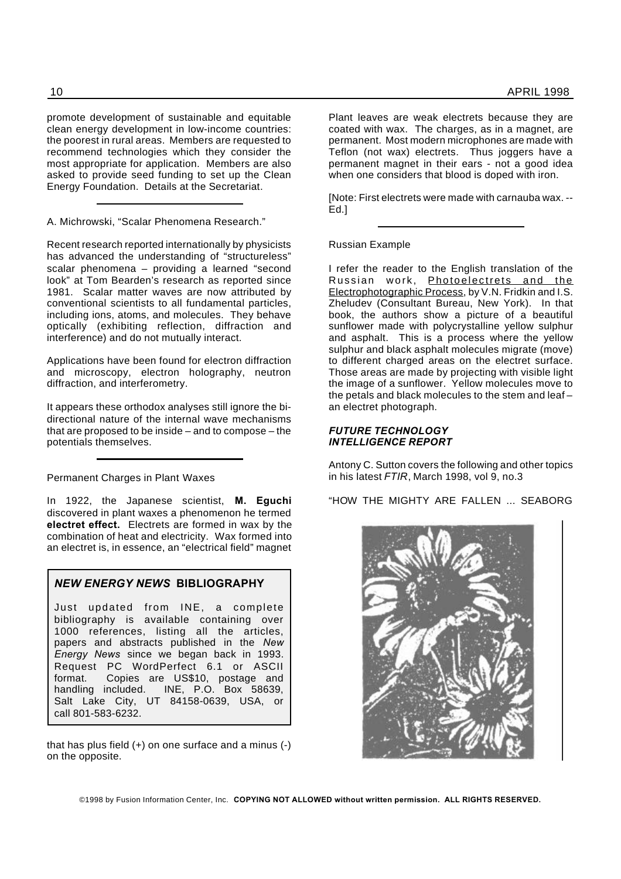promote development of sustainable and equitable clean energy development in low-income countries: the poorest in rural areas. Members are requested to recommend technologies which they consider the most appropriate for application. Members are also asked to provide seed funding to set up the Clean Energy Foundation. Details at the Secretariat.

A. Michrowski, "Scalar Phenomena Research."

Recent research reported internationally by physicists has advanced the understanding of "structureless" scalar phenomena – providing a learned "second look" at Tom Bearden's research as reported since 1981. Scalar matter waves are now attributed by conventional scientists to all fundamental particles, including ions, atoms, and molecules. They behave optically (exhibiting reflection, diffraction and interference) and do not mutually interact.

Applications have been found for electron diffraction and microscopy, electron holography, neutron diffraction, and interferometry.

It appears these orthodox analyses still ignore the bidirectional nature of the internal wave mechanisms that are proposed to be inside – and to compose – the potentials themselves.

Permanent Charges in Plant Waxes

In 1922, the Japanese scientist, **M. Eguchi** discovered in plant waxes a phenomenon he termed **electret effect.** Electrets are formed in wax by the combination of heat and electricity. Wax formed into an electret is, in essence, an "electrical field" magnet

#### *NEW ENERGY NEWS* **BIBLIOGRAPHY**

Just updated from INE, a complete bibliography is available containing over 1000 references, listing all the articles, papers and abstracts published in the *New Energy News* since we began back in 1993. Request PC WordPerfect 6.1 or ASCII format. Copies are US\$10, postage and handling included. INE, P.O. Box 58639, Salt Lake City, UT 84158-0639, USA, or call 801-583-6232.

that has plus field (+) on one surface and a minus (-) on the opposite.

Plant leaves are weak electrets because they are coated with wax. The charges, as in a magnet, are permanent. Most modern microphones are made with Teflon (not wax) electrets. Thus joggers have a permanent magnet in their ears - not a good idea when one considers that blood is doped with iron.

[Note: First electrets were made with carnauba wax. -- Ed.]

Russian Example

I refer the reader to the English translation of the Russian work, Photoelectrets and the Electrophotographic Process, by V.N. Fridkin and I.S. Zheludev (Consultant Bureau, New York). In that book, the authors show a picture of a beautiful sunflower made with polycrystalline yellow sulphur and asphalt. This is a process where the yellow sulphur and black asphalt molecules migrate (move) to different charged areas on the electret surface. Those areas are made by projecting with visible light the image of a sunflower. Yellow molecules move to the petals and black molecules to the stem and leaf – an electret photograph.

#### *FUTURE TECHNOLOGY INTELLIGENCE REPORT*

Antony C. Sutton covers the following and other topics in his latest *FTIR*, March 1998, vol 9, no.3

"HOW THE MIGHTY ARE FALLEN ... SEABORG

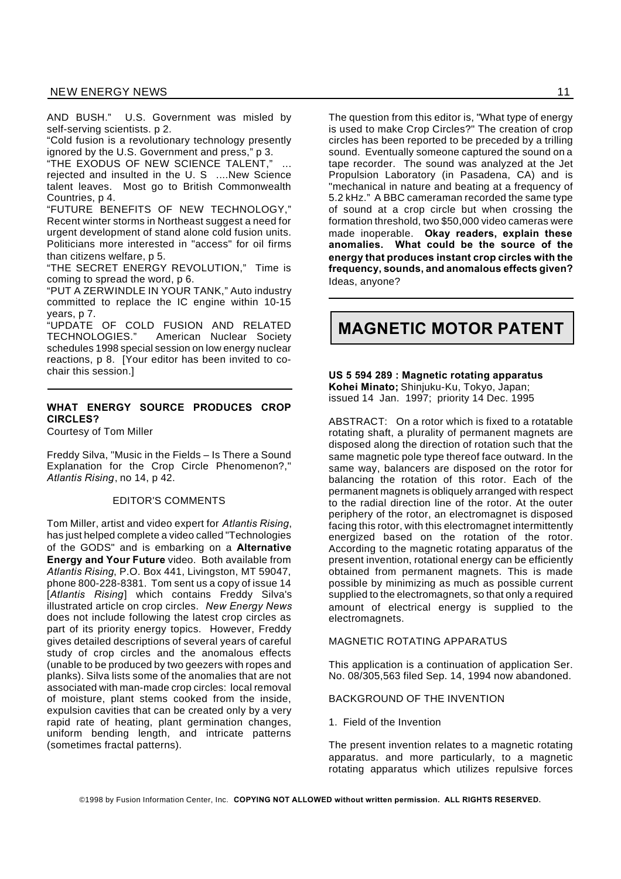AND BUSH." U.S. Government was misled by self-serving scientists. p 2.

"Cold fusion is a revolutionary technology presently ignored by the U.S. Government and press," p 3.

"THE EXODUS OF NEW SCIENCE TALENT," rejected and insulted in the U.S ....New Science talent leaves. Most go to British Commonwealth Countries, p 4.

"FUTURE BENEFITS OF NEW TECHNOLOGY," Recent winter storms in Northeast suggest a need for urgent development of stand alone cold fusion units. Politicians more interested in "access" for oil firms than citizens welfare, p 5.

"THE SECRET ENERGY REVOLUTION," Time is coming to spread the word, p 6.

"PUT A ZERWINDLE IN YOUR TANK," Auto industry committed to replace the IC engine within 10-15 years, p 7.

"UPDATE OF COLD FUSION AND RELATED TECHNOLOGIES." American Nuclear Society schedules 1998 special session on low energy nuclear reactions, p 8. [Your editor has been invited to cochair this session.]

#### **WHAT ENERGY SOURCE PRODUCES CROP CIRCLES?**

Courtesy of Tom Miller

Freddy Silva, "Music in the Fields – Is There a Sound Explanation for the Crop Circle Phenomenon?," *Atlantis Rising*, no 14, p 42.

#### EDITOR'S COMMENTS

Tom Miller, artist and video expert for *Atlantis Rising*, has just helped complete a video called "Technologies of the GODS" and is embarking on a **Alternative Energy and Your Future** video. Both available from *Atlantis Rising*, P.O. Box 441, Livingston, MT 59047, phone 800-228-8381. Tom sent us a copy of issue 14 [*Atlantis Rising*] which contains Freddy Silva's illustrated article on crop circles. *New Energy News* does not include following the latest crop circles as part of its priority energy topics. However, Freddy gives detailed descriptions of several years of careful study of crop circles and the anomalous effects (unable to be produced by two geezers with ropes and planks). Silva lists some of the anomalies that are not associated with man-made crop circles: local removal of moisture, plant stems cooked from the inside, expulsion cavities that can be created only by a very rapid rate of heating, plant germination changes, uniform bending length, and intricate patterns (sometimes fractal patterns).

The question from this editor is, "What type of energy is used to make Crop Circles?" The creation of crop circles has been reported to be preceded by a trilling sound. Eventually someone captured the sound on a tape recorder. The sound was analyzed at the Jet Propulsion Laboratory (in Pasadena, CA) and is "mechanical in nature and beating at a frequency of 5.2 kHz." A BBC cameraman recorded the same type of sound at a crop circle but when crossing the formation threshold, two \$50,000 video cameras were made inoperable. **Okay readers, explain these anomalies. What could be the source of the energy that produces instant crop circles with the frequency, sounds, and anomalous effects given?** Ideas, anyone?

## **MAGNETIC MOTOR PATENT**

#### **US 5 594 289 : Magnetic rotating apparatus Kohei Minato;** Shinjuku-Ku, Tokyo, Japan; issued 14 Jan. 1997; priority 14 Dec. 1995

ABSTRACT: On a rotor which is fixed to a rotatable rotating shaft, a plurality of permanent magnets are disposed along the direction of rotation such that the same magnetic pole type thereof face outward. In the same way, balancers are disposed on the rotor for balancing the rotation of this rotor. Each of the permanent magnets is obliquely arranged with respect to the radial direction line of the rotor. At the outer periphery of the rotor, an electromagnet is disposed facing this rotor, with this electromagnet intermittently energized based on the rotation of the rotor. According to the magnetic rotating apparatus of the present invention, rotational energy can be efficiently obtained from permanent magnets. This is made possible by minimizing as much as possible current supplied to the electromagnets, so that only a required amount of electrical energy is supplied to the electromagnets.

#### MAGNETIC ROTATING APPARATUS

This application is a continuation of application Ser. No. 08/305,563 filed Sep. 14, 1994 now abandoned.

#### BACKGROUND OF THE INVENTION

#### 1. Field of the Invention

The present invention relates to a magnetic rotating apparatus. and more particularly, to a magnetic rotating apparatus which utilizes repulsive forces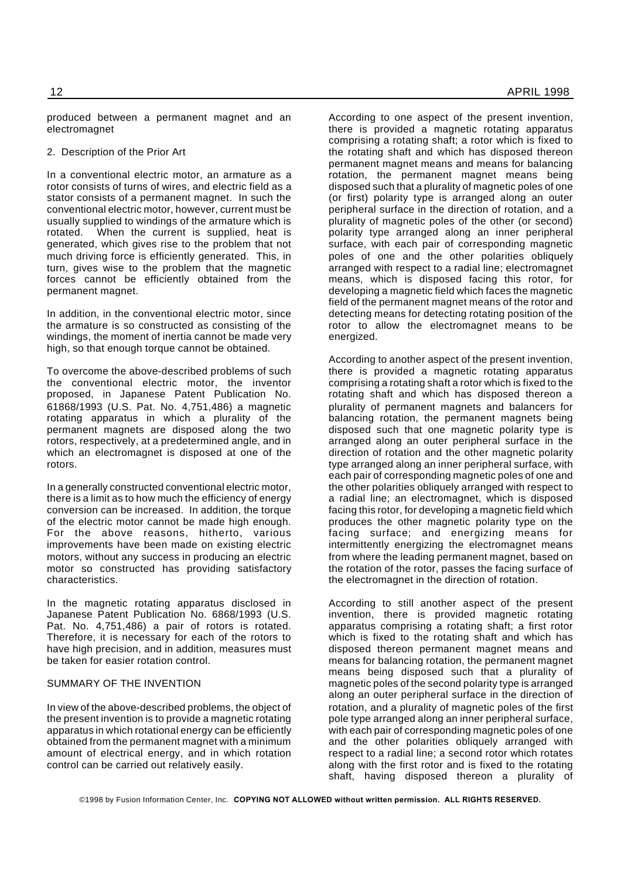produced between a permanent magnet and an electromagnet

2. Description of the Prior Art

In a conventional electric motor, an armature as a rotor consists of turns of wires, and electric field as a stator consists of a permanent magnet. In such the conventional electric motor, however, current must be usually supplied to windings of the armature which is rotated. When the current is supplied, heat is generated, which gives rise to the problem that not much driving force is efficiently generated. This, in turn, gives wise to the problem that the magnetic forces cannot be efficiently obtained from the permanent magnet.

In addition, in the conventional electric motor, since the armature is so constructed as consisting of the windings, the moment of inertia cannot be made very high, so that enough torque cannot be obtained.

To overcome the above-described problems of such the conventional electric motor, the inventor proposed, in Japanese Patent Publication No. 61868/1993 (U.S. Pat. No. 4,751,486) a magnetic rotating apparatus in which a plurality of the permanent magnets are disposed along the two rotors, respectively, at a predetermined angle, and in which an electromagnet is disposed at one of the rotors.

In a generally constructed conventional electric motor, there is a limit as to how much the efficiency of energy conversion can be increased. In addition, the torque of the electric motor cannot be made high enough. For the above reasons, hitherto, various improvements have been made on existing electric motors, without any success in producing an electric motor so constructed has providing satisfactory characteristics.

In the magnetic rotating apparatus disclosed in Japanese Patent Publication No. 6868/1993 (U.S. Pat. No. 4,751,486) a pair of rotors is rotated. Therefore, it is necessary for each of the rotors to have high precision, and in addition, measures must be taken for easier rotation control.

#### SUMMARY OF THE INVENTION

In view of the above-described problems, the object of the present invention is to provide a magnetic rotating apparatus in which rotational energy can be efficiently obtained from the permanent magnet with a minimum amount of electrical energy, and in which rotation control can be carried out relatively easily.

According to one aspect of the present invention, there is provided a magnetic rotating apparatus comprising a rotating shaft; a rotor which is fixed to the rotating shaft and which has disposed thereon permanent magnet means and means for balancing rotation, the permanent magnet means being disposed such that a plurality of magnetic poles of one (or first) polarity type is arranged along an outer peripheral surface in the direction of rotation, and a plurality of magnetic poles of the other (or second) polarity type arranged along an inner peripheral surface, with each pair of corresponding magnetic poles of one and the other polarities obliquely arranged with respect to a radial line; electromagnet means, which is disposed facing this rotor, for developing a magnetic field which faces the magnetic field of the permanent magnet means of the rotor and detecting means for detecting rotating position of the rotor to allow the electromagnet means to be energized.

According to another aspect of the present invention, there is provided a magnetic rotating apparatus comprising a rotating shaft a rotor which is fixed to the rotating shaft and which has disposed thereon a plurality of permanent magnets and balancers for balancing rotation, the permanent magnets being disposed such that one magnetic polarity type is arranged along an outer peripheral surface in the direction of rotation and the other magnetic polarity type arranged along an inner peripheral surface, with each pair of corresponding magnetic poles of one and the other polarities obliquely arranged with respect to a radial line; an electromagnet, which is disposed facing this rotor, for developing a magnetic field which produces the other magnetic polarity type on the facing surface; and energizing means for intermittently energizing the electromagnet means from where the leading permanent magnet, based on the rotation of the rotor, passes the facing surface of the electromagnet in the direction of rotation.

According to still another aspect of the present invention, there is provided magnetic rotating apparatus comprising a rotating shaft; a first rotor which is fixed to the rotating shaft and which has disposed thereon permanent magnet means and means for balancing rotation, the permanent magnet means being disposed such that a plurality of magnetic poles of the second polarity type is arranged along an outer peripheral surface in the direction of rotation, and a plurality of magnetic poles of the first pole type arranged along an inner peripheral surface, with each pair of corresponding magnetic poles of one and the other polarities obliquely arranged with respect to a radial line; a second rotor which rotates along with the first rotor and is fixed to the rotating shaft, having disposed thereon a plurality of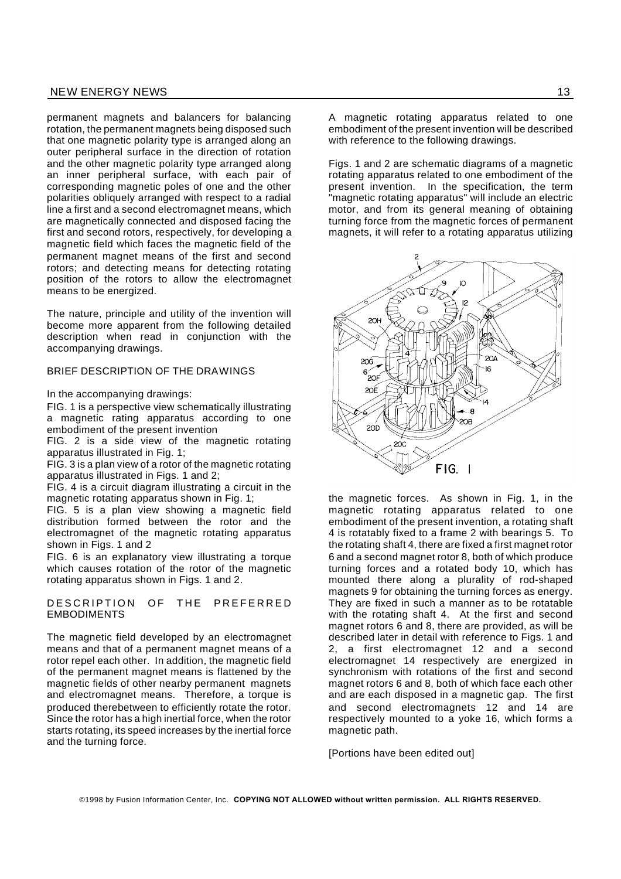permanent magnets and balancers for balancing rotation, the permanent magnets being disposed such that one magnetic polarity type is arranged along an outer peripheral surface in the direction of rotation and the other magnetic polarity type arranged along an inner peripheral surface, with each pair of corresponding magnetic poles of one and the other polarities obliquely arranged with respect to a radial line a first and a second electromagnet means, which are magnetically connected and disposed facing the first and second rotors, respectively, for developing a magnetic field which faces the magnetic field of the permanent magnet means of the first and second rotors; and detecting means for detecting rotating position of the rotors to allow the electromagnet means to be energized.

The nature, principle and utility of the invention will become more apparent from the following detailed description when read in conjunction with the accompanying drawings.

#### BRIEF DESCRIPTION OF THE DRAWINGS

In the accompanying drawings:

FIG. 1 is a perspective view schematically illustrating a magnetic rating apparatus according to one embodiment of the present invention

FIG. 2 is a side view of the magnetic rotating apparatus illustrated in Fig. 1;

FIG. 3 is a plan view of a rotor of the magnetic rotating apparatus illustrated in Figs. 1 and 2;

FIG. 4 is a circuit diagram illustrating a circuit in the magnetic rotating apparatus shown in Fig. 1;

FIG. 5 is a plan view showing a magnetic field distribution formed between the rotor and the electromagnet of the magnetic rotating apparatus shown in Figs. 1 and 2

FIG. 6 is an explanatory view illustrating a torque which causes rotation of the rotor of the magnetic rotating apparatus shown in Figs. 1 and 2.

#### DESCRIPTION OF THE PREFERRED EMBODIMENTS

The magnetic field developed by an electromagnet means and that of a permanent magnet means of a rotor repel each other. In addition, the magnetic field of the permanent magnet means is flattened by the magnetic fields of other nearby permanent magnets and electromagnet means. Therefore, a torque is produced therebetween to efficiently rotate the rotor. Since the rotor has a high inertial force, when the rotor starts rotating, its speed increases by the inertial force and the turning force.

A magnetic rotating apparatus related to one embodiment of the present invention will be described with reference to the following drawings.

Figs. 1 and 2 are schematic diagrams of a magnetic rotating apparatus related to one embodiment of the present invention. In the specification, the term "magnetic rotating apparatus" will include an electric motor, and from its general meaning of obtaining turning force from the magnetic forces of permanent magnets, it will refer to a rotating apparatus utilizing



the magnetic forces. As shown in Fig. 1, in the magnetic rotating apparatus related to one embodiment of the present invention, a rotating shaft 4 is rotatably fixed to a frame 2 with bearings 5. To the rotating shaft 4, there are fixed a first magnet rotor 6 and a second magnet rotor 8, both of which produce turning forces and a rotated body 10, which has mounted there along a plurality of rod-shaped magnets 9 for obtaining the turning forces as energy. They are fixed in such a manner as to be rotatable with the rotating shaft 4. At the first and second magnet rotors 6 and 8, there are provided, as will be described later in detail with reference to Figs. 1 and 2, a first electromagnet 12 and a second electromagnet 14 respectively are energized in synchronism with rotations of the first and second magnet rotors 6 and 8, both of which face each other and are each disposed in a magnetic gap. The first and second electromagnets 12 and 14 are respectively mounted to a yoke 16, which forms a magnetic path.

[Portions have been edited out]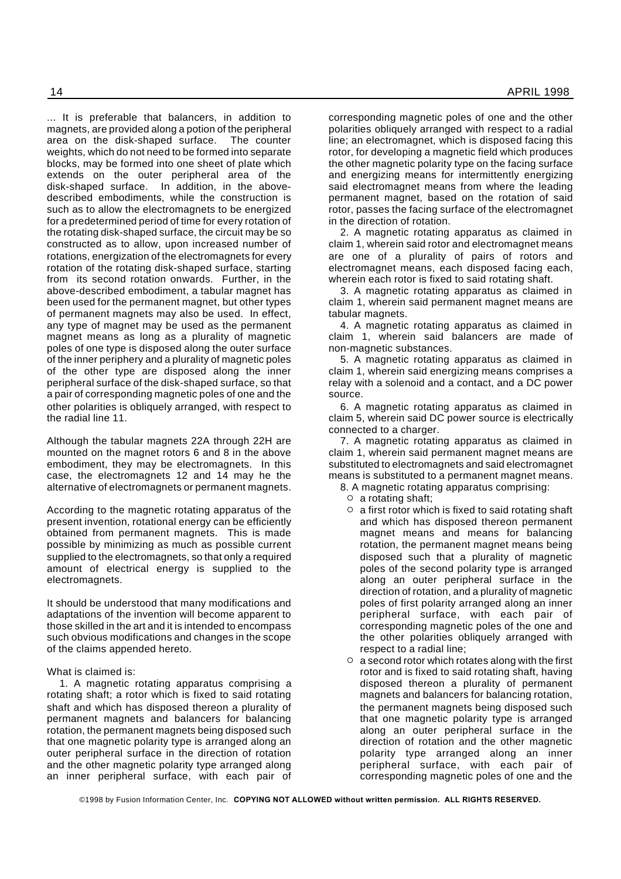... It is preferable that balancers, in addition to magnets, are provided along a potion of the peripheral area on the disk-shaped surface. The counter weights, which do not need to be formed into separate blocks, may be formed into one sheet of plate which extends on the outer peripheral area of the disk-shaped surface. In addition, in the abovedescribed embodiments, while the construction is such as to allow the electromagnets to be energized for a predetermined period of time for every rotation of the rotating disk-shaped surface, the circuit may be so constructed as to allow, upon increased number of rotations, energization of the electromagnets for every rotation of the rotating disk-shaped surface, starting from its second rotation onwards. Further, in the above-described embodiment, a tabular magnet has been used for the permanent magnet, but other types of permanent magnets may also be used. In effect, any type of magnet may be used as the permanent magnet means as long as a plurality of magnetic poles of one type is disposed along the outer surface of the inner periphery and a plurality of magnetic poles of the other type are disposed along the inner peripheral surface of the disk-shaped surface, so that a pair of corresponding magnetic poles of one and the other polarities is obliquely arranged, with respect to the radial line 11.

Although the tabular magnets 22A through 22H are mounted on the magnet rotors 6 and 8 in the above embodiment, they may be electromagnets. In this case, the electromagnets 12 and 14 may he the alternative of electromagnets or permanent magnets.

According to the magnetic rotating apparatus of the present invention, rotational energy can be efficiently obtained from permanent magnets. This is made possible by minimizing as much as possible current supplied to the electromagnets, so that only a required amount of electrical energy is supplied to the electromagnets.

It should be understood that many modifications and adaptations of the invention will become apparent to those skilled in the art and it is intended to encompass such obvious modifications and changes in the scope of the claims appended hereto.

What is claimed is:

1. A magnetic rotating apparatus comprising a rotating shaft; a rotor which is fixed to said rotating shaft and which has disposed thereon a plurality of permanent magnets and balancers for balancing rotation, the permanent magnets being disposed such that one magnetic polarity type is arranged along an outer peripheral surface in the direction of rotation and the other magnetic polarity type arranged along an inner peripheral surface, with each pair of

corresponding magnetic poles of one and the other polarities obliquely arranged with respect to a radial line; an electromagnet, which is disposed facing this rotor, for developing a magnetic field which produces the other magnetic polarity type on the facing surface and energizing means for intermittently energizing said electromagnet means from where the leading permanent magnet, based on the rotation of said rotor, passes the facing surface of the electromagnet in the direction of rotation.

2. A magnetic rotating apparatus as claimed in claim 1, wherein said rotor and electromagnet means are one of a plurality of pairs of rotors and electromagnet means, each disposed facing each, wherein each rotor is fixed to said rotating shaft.

3. A magnetic rotating apparatus as claimed in claim 1, wherein said permanent magnet means are tabular magnets.

4. A magnetic rotating apparatus as claimed in claim 1, wherein said balancers are made of non-magnetic substances.

5. A magnetic rotating apparatus as claimed in claim 1, wherein said energizing means comprises a relay with a solenoid and a contact, and a DC power source.

6. A magnetic rotating apparatus as claimed in claim 5, wherein said DC power source is electrically connected to a charger.

7. A magnetic rotating apparatus as claimed in claim 1, wherein said permanent magnet means are substituted to electromagnets and said electromagnet means is substituted to a permanent magnet means.

- 8. A magnetic rotating apparatus comprising:
	- $\circ$  a rotating shaft;
	- $\circ$  a first rotor which is fixed to said rotating shaft and which has disposed thereon permanent magnet means and means for balancing rotation, the permanent magnet means being disposed such that a plurality of magnetic poles of the second polarity type is arranged along an outer peripheral surface in the direction of rotation, and a plurality of magnetic poles of first polarity arranged along an inner peripheral surface, with each pair of corresponding magnetic poles of the one and the other polarities obliquely arranged with respect to a radial line;
	- $\circ$  a second rotor which rotates along with the first rotor and is fixed to said rotating shaft, having disposed thereon a plurality of permanent magnets and balancers for balancing rotation, the permanent magnets being disposed such that one magnetic polarity type is arranged along an outer peripheral surface in the direction of rotation and the other magnetic polarity type arranged along an inner peripheral surface, with each pair of corresponding magnetic poles of one and the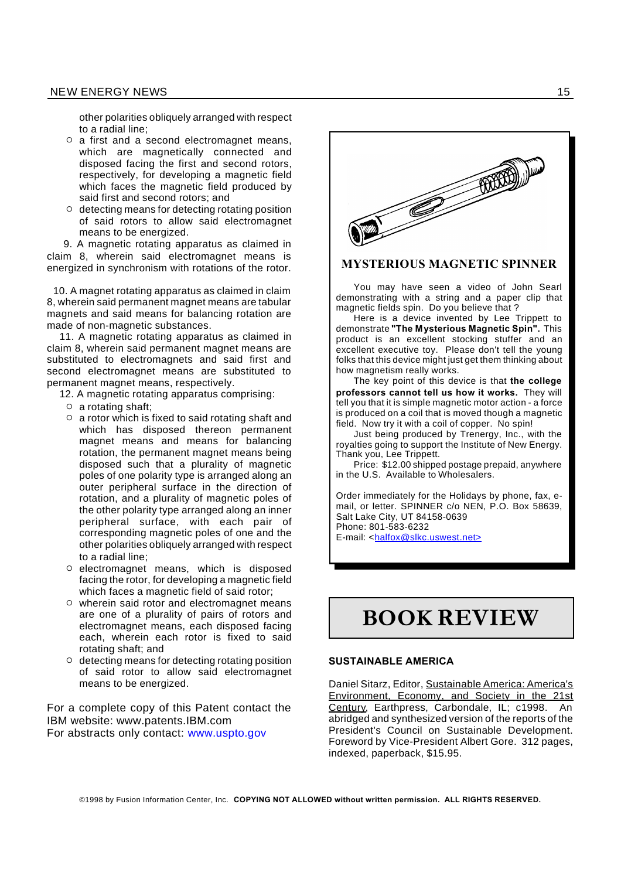other polarities obliquely arranged with respect to a radial line;

- ˛ a first and a second electromagnet means, which are magnetically connected and disposed facing the first and second rotors, respectively, for developing a magnetic field which faces the magnetic field produced by said first and second rotors; and
- ˛ detecting means for detecting rotating position of said rotors to allow said electromagnet means to be energized.

9. A magnetic rotating apparatus as claimed in claim 8, wherein said electromagnet means is energized in synchronism with rotations of the rotor.

10. A magnet rotating apparatus as claimed in claim 8, wherein said permanent magnet means are tabular magnets and said means for balancing rotation are made of non-magnetic substances.

11. A magnetic rotating apparatus as claimed in claim 8, wherein said permanent magnet means are substituted to electromagnets and said first and second electromagnet means are substituted to permanent magnet means, respectively.

12. A magnetic rotating apparatus comprising:

- $\circ$  a rotating shaft;
- $\circ$  a rotor which is fixed to said rotating shaft and which has disposed thereon permanent magnet means and means for balancing rotation, the permanent magnet means being disposed such that a plurality of magnetic poles of one polarity type is arranged along an outer peripheral surface in the direction of rotation, and a plurality of magnetic poles of the other polarity type arranged along an inner peripheral surface, with each pair of corresponding magnetic poles of one and the other polarities obliquely arranged with respect to a radial line;
- ˛ electromagnet means, which is disposed facing the rotor, for developing a magnetic field which faces a magnetic field of said rotor;
- ˛ wherein said rotor and electromagnet means are one of a plurality of pairs of rotors and electromagnet means, each disposed facing each, wherein each rotor is fixed to said rotating shaft; and
- ˛ detecting means for detecting rotating position of said rotor to allow said electromagnet means to be energized.

For a complete copy of this Patent contact the IBM website: www.patents.IBM.com For abstracts only contact: www.uspto.gov



#### **MYSTERIOUS MAGNETIC SPINNER**

You may have seen a video of John Searl demonstrating with a string and a paper clip that magnetic fields spin. Do you believe that ?

Here is a device invented by Lee Trippett to demonstrate **"The Mysterious Magnetic Spin".** This product is an excellent stocking stuffer and an excellent executive toy. Please don't tell the young folks that this device might just get them thinking about how magnetism really works.

The key point of this device is that **the college professors cannot tell us how it works.** They will tell you that it is simple magnetic motor action - a force is produced on a coil that is moved though a magnetic field. Now try it with a coil of copper. No spin!

Just being produced by Trenergy, Inc., with the royalties going to support the Institute of New Energy. Thank you, Lee Trippett.

Price: \$12.00 shipped postage prepaid, anywhere in the U.S. Available to Wholesalers.

Order immediately for the Holidays by phone, fax, email, or letter. SPINNER c/o NEN, P.O. Box 58639, Salt Lake City, UT 84158-0639 Phone: 801-583-6232 E-mail: <halfox@slkc.uswest.net>

## **BOOK REVIEW**

#### **SUSTAINABLE AMERICA**

Daniel Sitarz, Editor, Sustainable America: America's Environment, Economy, and Society in the 21st Century, Earthpress, Carbondale, IL; c1998. An abridged and synthesized version of the reports of the President's Council on Sustainable Development. Foreword by Vice-President Albert Gore. 312 pages, indexed, paperback, \$15.95.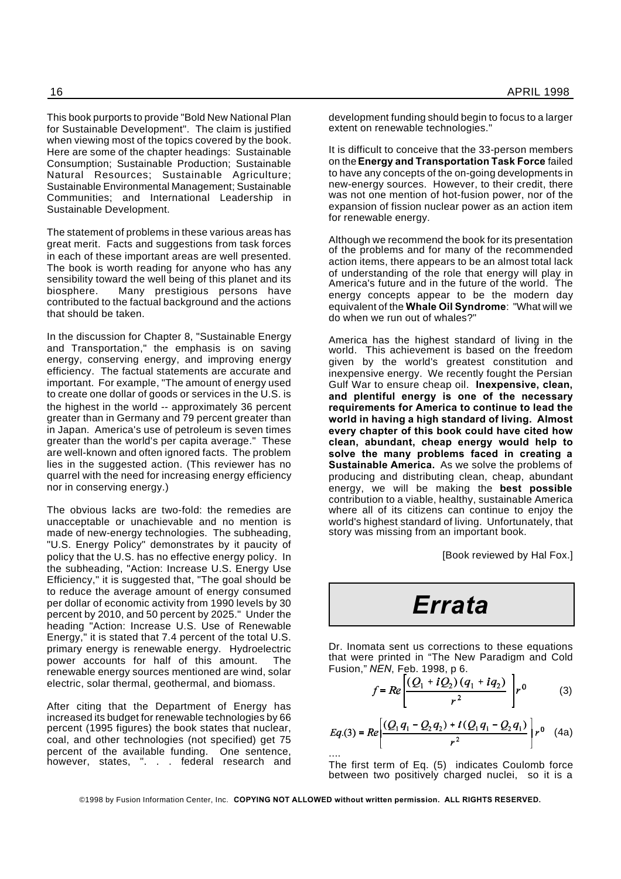This book purports to provide "Bold New National Plan for Sustainable Development". The claim is justified when viewing most of the topics covered by the book. Here are some of the chapter headings: Sustainable Consumption; Sustainable Production; Sustainable Natural Resources; Sustainable Agriculture; Sustainable Environmental Management; Sustainable Communities; and International Leadership in Sustainable Development.

The statement of problems in these various areas has great merit. Facts and suggestions from task forces in each of these important areas are well presented. The book is worth reading for anyone who has any sensibility toward the well being of this planet and its biosphere. Many prestigious persons have contributed to the factual background and the actions that should be taken.

In the discussion for Chapter 8, "Sustainable Energy and Transportation," the emphasis is on saving energy, conserving energy, and improving energy efficiency. The factual statements are accurate and important. For example, "The amount of energy used to create one dollar of goods or services in the U.S. is the highest in the world -- approximately 36 percent greater than in Germany and 79 percent greater than in Japan. America's use of petroleum is seven times greater than the world's per capita average." These are well-known and often ignored facts. The problem lies in the suggested action. (This reviewer has no quarrel with the need for increasing energy efficiency nor in conserving energy.)

The obvious lacks are two-fold: the remedies are unacceptable or unachievable and no mention is made of new-energy technologies. The subheading, "U.S. Energy Policy" demonstrates by it paucity of policy that the U.S. has no effective energy policy. In the subheading, "Action: Increase U.S. Energy Use Efficiency," it is suggested that, "The goal should be to reduce the average amount of energy consumed per dollar of economic activity from 1990 levels by 30 percent by 2010, and 50 percent by 2025." Under the heading "Action: Increase U.S. Use of Renewable Energy," it is stated that 7.4 percent of the total U.S. primary energy is renewable energy. Hydroelectric power accounts for half of this amount. The renewable energy sources mentioned are wind, solar electric, solar thermal, geothermal, and biomass.

After citing that the Department of Energy has increased its budget for renewable technologies by 66 percent (1995 figures) the book states that nuclear, coal, and other technologies (not specified) get 75 percent of the available funding. One sentence, however, states, ". . . federal research and

development funding should begin to focus to a larger extent on renewable technologies.'

It is difficult to conceive that the 33-person members on the**Energy and Transportation Task Force** failed to have any concepts of the on-going developments in new-energy sources. However, to their credit, there was not one mention of hot-fusion power, nor of the expansion of fission nuclear power as an action item for renewable energy.

Although we recommend the book for its presentation of the problems and for many of the recommended action items, there appears to be an almost total lack of understanding of the role that energy will play in America's future and in the future of the world. The energy concepts appear to be the modern day equivalent of the **Whale Oil Syndrome**: "What will we do when we run out of whales?"

America has the highest standard of living in the world. This achievement is based on the freedom given by the world's greatest constitution and inexpensive energy. We recently fought the Persian Gulf War to ensure cheap oil. **Inexpensive, clean, and plentiful energy is one of the necessary requirements for America to continue to lead the world in having a high standard of living. Almost every chapter of this book could have cited how clean, abundant, cheap energy would help to solve the many problems faced in creating a Sustainable America.** As we solve the problems of producing and distributing clean, cheap, abundant energy, we will be making the **best possible** contribution to a viable, healthy, sustainable America where all of its citizens can continue to enjoy the world's highest standard of living. Unfortunately, that story was missing from an important book.

[Book reviewed by Hal Fox.]

## *Errata*

Dr. Inomata sent us corrections to these equations that were printed in "The New Paradigm and Cold Fusion," *NEN*, Feb. 1998, p 6.

$$
f = Re \left[ \frac{(Q_1 + iQ_2)(q_1 + iq_2)}{r^2} \right] r^0 \tag{3}
$$

$$
Eq.(3) = Re \left[ \frac{(Q_1 q_1 - Q_2 q_2) + i (Q_1 q_1 - Q_2 q_1)}{r^2} \right] r^0
$$
 (4a)

The first term of Eq. (5) indicates Coulomb force between two positively charged nuclei, so it is a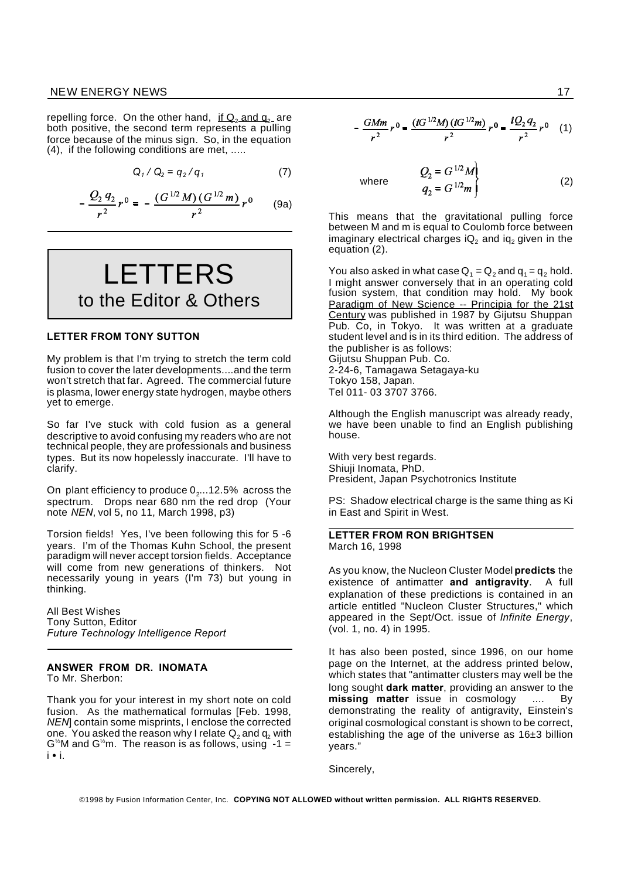#### NEW ENERGY NEWS 27 and 20 and 20 and 20 and 20 and 20 and 20 and 20 and 20 and 20 and 20 and 20 and 20 and 20

repelling force. On the other hand, if  $Q_2$  and  $q_2$  are both positive, the second term represents a pulling force because of the minus sign. So, in the equation (4), if the following conditions are met, .....

$$
Q_1/Q_2 = q_2/q_1 \tag{7}
$$

$$
-\frac{Q_2 q_2}{r^2} r^0 = -\frac{(G^{1/2} M)(G^{1/2} m)}{r^2} r^0 \qquad (9a)
$$

LETTERS to the Editor & Others

#### **LETTER FROM TONY SUTTON**

My problem is that I'm trying to stretch the term cold fusion to cover the later developments....and the term won't stretch that far. Agreed. The commercial future is plasma, lower energy state hydrogen, maybe others yet to emerge.

So far I've stuck with cold fusion as a general descriptive to avoid confusing my readers who are not technical people, they are professionals and business types. But its now hopelessly inaccurate. I'll have to clarify.

On plant efficiency to produce  $0_{2}...$ 12.5%  $\,$  across the  $\,$ spectrum. Drops near 680 nm the red drop (Your note *NEN*, vol 5, no 11, March 1998, p3)

Torsion fields! Yes, I've been following this for 5 -6 years. I'm of the Thomas Kuhn School, the present paradigm will never accept torsion fields. Acceptance will come from new generations of thinkers. Not necessarily young in years (I'm 73) but young in thinking.

All Best Wishes Tony Sutton, Editor *Future Technology Intelligence Report*

## **ANSWER FROM DR. INOMATA**

To Mr. Sherbon:

Thank you for your interest in my short note on cold fusion. As the mathematical formulas [Feb. 1998, *NEN*] contain some misprints, I enclose the corrected one. You asked the reason why I relate  $Q_2$  and  $q_2$  with  $G^{\frac{1}{2}}$ M and  $G^{\frac{1}{2}}$ m. The reason is as follows, using -1 = i i.

$$
-\frac{GMm}{r^2}r^0=\frac{(iG^{1/2}M)(iG^{1/2}m)}{r^2}r^0=\frac{iQ_2q_2}{r^2}r^0
$$
 (1)

where 
$$
Q_2 = G^{1/2}M
$$
  
\n $q_2 = G^{1/2}m$  (2)

This means that the gravitational pulling force between M and m is equal to Coulomb force between imaginary electrical charges  $iQ_2$  and  $iq_2$  given in the equation (2).

You also asked in what case  $Q_1 = Q_2$  and  $q_1 = q_2$  hold. I might answer conversely that in an operating cold fusion system, that condition may hold. My book Paradigm of New Science -- Principia for the 21st Century was published in 1987 by Gijutsu Shuppan Pub. Co, in Tokyo. It was written at a graduate student level and is in its third edition. The address of the publisher is as follows: Gijutsu Shuppan Pub. Co.

2-24-6, Tamagawa Setagaya-ku Tokyo 158, Japan. Tel 011- 03 3707 3766.

Although the English manuscript was already ready, we have been unable to find an English publishing house.

With very best regards. Shiuji Inomata, PhD. President, Japan Psychotronics Institute

PS: Shadow electrical charge is the same thing as Ki in East and Spirit in West.

#### **LETTER FROM RON BRIGHTSEN** March 16, 1998

As you know, the Nucleon Cluster Model **predicts** the existence of antimatter **and antigravity**. A full explanation of these predictions is contained in an article entitled "Nucleon Cluster Structures," which appeared in the Sept/Oct. issue of *Infinite Energy*, (vol. 1, no. 4) in 1995.

It has also been posted, since 1996, on our home page on the Internet, at the address printed below, which states that "antimatter clusters may well be the long sought **dark matter**, providing an answer to the **missing matter** issue in cosmology .... By demonstrating the reality of antigravity, Einstein's original cosmological constant is shown to be correct, establishing the age of the universe as  $16±3$  billion years."

Sincerely,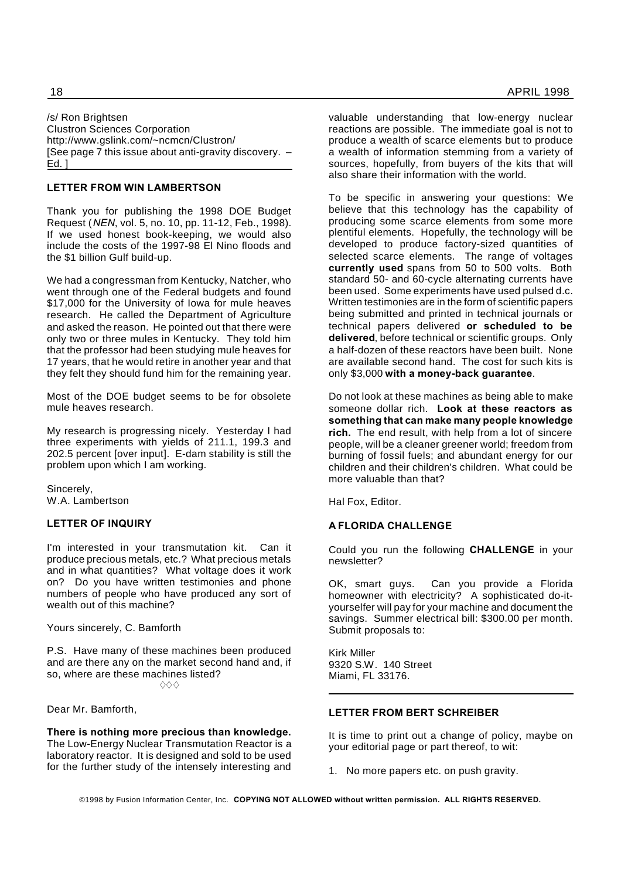/s/ Ron Brightsen Clustron Sciences Corporation http://www.gslink.com/~ncmcn/Clustron/ [See page 7 this issue about anti-gravity discovery. – Ed. ]

#### **LETTER FROM WIN LAMBERTSON**

Thank you for publishing the 1998 DOE Budget Request (*NEN*, vol. 5, no. 10, pp. 11-12, Feb., 1998). If we used honest book-keeping, we would also include the costs of the 1997-98 El Nino floods and the \$1 billion Gulf build-up.

We had a congressman from Kentucky, Natcher, who went through one of the Federal budgets and found \$17,000 for the University of Iowa for mule heaves research. He called the Department of Agriculture and asked the reason. He pointed out that there were only two or three mules in Kentucky. They told him that the professor had been studying mule heaves for 17 years, that he would retire in another year and that they felt they should fund him for the remaining year.

Most of the DOE budget seems to be for obsolete mule heaves research.

My research is progressing nicely. Yesterday I had three experiments with yields of 211.1, 199.3 and 202.5 percent [over input]. E-dam stability is still the problem upon which I am working.

Sincerely, W.A. Lambertson

#### **LETTER OF INQUIRY**

I'm interested in your transmutation kit. Can it produce precious metals, etc.? What precious metals and in what quantities? What voltage does it work on? Do you have written testimonies and phone numbers of people who have produced any sort of wealth out of this machine?

Yours sincerely, C. Bamforth

P.S. Have many of these machines been produced and are there any on the market second hand and, if so, where are these machines listed?  $\Diamond \Diamond \Diamond$ 

Dear Mr. Bamforth,

**There is nothing more precious than knowledge.** The Low-Energy Nuclear Transmutation Reactor is a laboratory reactor. It is designed and sold to be used for the further study of the intensely interesting and

valuable understanding that low-energy nuclear reactions are possible. The immediate goal is not to produce a wealth of scarce elements but to produce a wealth of information stemming from a variety of sources, hopefully, from buyers of the kits that will also share their information with the world.

To be specific in answering your questions: We believe that this technology has the capability of producing some scarce elements from some more plentiful elements. Hopefully, the technology will be developed to produce factory-sized quantities of selected scarce elements. The range of voltages **currently used** spans from 50 to 500 volts. Both standard 50- and 60-cycle alternating currents have been used. Some experiments have used pulsed d.c. Written testimonies are in the form of scientific papers being submitted and printed in technical journals or technical papers delivered **or scheduled to be delivered**, before technical or scientific groups. Only a half-dozen of these reactors have been built. None are available second hand. The cost for such kits is only \$3,000 **with a money-back guarantee**.

Do not look at these machines as being able to make someone dollar rich. **Look at these reactors as something that can make many people knowledge rich.** The end result, with help from a lot of sincere people, will be a cleaner greener world; freedom from burning of fossil fuels; and abundant energy for our children and their children's children. What could be more valuable than that?

Hal Fox, Editor.

#### **A FLORIDA CHALLENGE**

Could you run the following **CHALLENGE** in your newsletter?

OK, smart guys. Can you provide a Florida homeowner with electricity? A sophisticated do-ityourselfer will pay for your machine and document the savings. Summer electrical bill: \$300.00 per month. Submit proposals to:

Kirk Miller 9320 S.W. 140 Street Miami, FL 33176.

#### **LETTER FROM BERT SCHREIBER**

It is time to print out a change of policy, maybe on your editorial page or part thereof, to wit:

1. No more papers etc. on push gravity.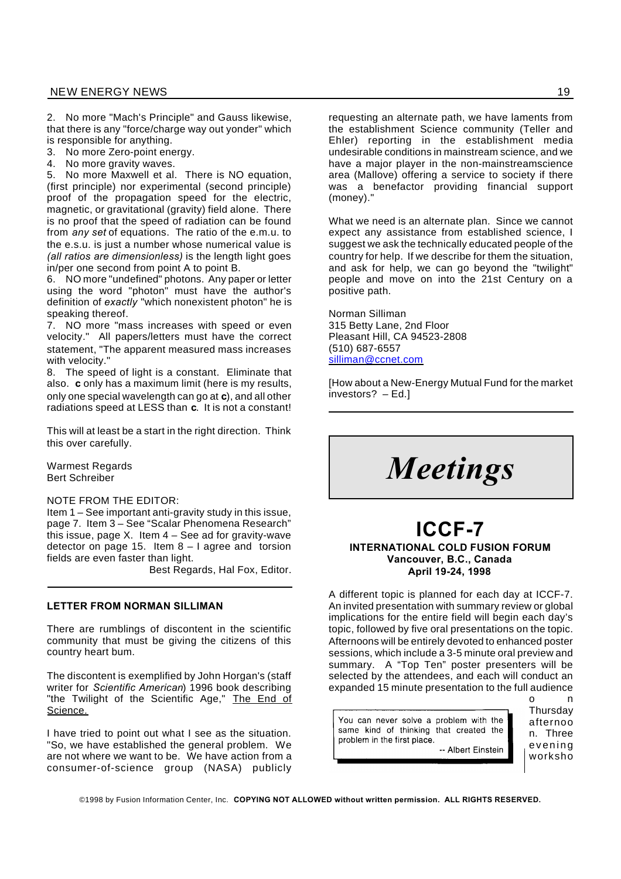2. No more "Mach's Principle" and Gauss likewise, that there is any "force/charge way out yonder" which is responsible for anything.

- 3. No more Zero-point energy.
- 4. No more gravity waves.

5. No more Maxwell et al. There is NO equation, (first principle) nor experimental (second principle) proof of the propagation speed for the electric, magnetic, or gravitational (gravity) field alone. There is no proof that the speed of radiation can be found from *any set* of equations. The ratio of the e.m.u. to the e.s.u. is just a number whose numerical value is *(all ratios are dimensionless)* is the length light goes in/per one second from point A to point B.

6. NO more "undefined" photons. Any paper or letter using the word "photon" must have the author's definition of *exactly* "which nonexistent photon" he is speaking thereof.

7. NO more "mass increases with speed or even velocity." All papers/letters must have the correct statement, "The apparent measured mass increases with velocity."

8. The speed of light is a constant. Eliminate that also. **c** only has a maximum limit (here is my results, only one special wavelength can go at **c**), and all other radiations speed at LESS than **c**. It is not a constant!

This will at least be a start in the right direction. Think this over carefully.

Warmest Regards Bert Schreiber

#### NOTE FROM THE EDITOR:

Item 1 – See important anti-gravity study in this issue, page 7. Item 3 – See "Scalar Phenomena Research" this issue, page  $X$ . Item  $4 -$  See ad for gravity-wave detector on page 15. Item 8 – I agree and torsion fields are even faster than light.

Best Regards, Hal Fox, Editor.

#### **LETTER FROM NORMAN SILLIMAN**

There are rumblings of discontent in the scientific community that must be giving the citizens of this country heart bum.

The discontent is exemplified by John Horgan's (staff writer for *Scientific American*) 1996 book describing "the Twilight of the Scientific Age," The End of Science.

I have tried to point out what I see as the situation. "So, we have established the general problem. We are not where we want to be. We have action from a consumer-of-science group (NASA) publicly

requesting an alternate path, we have laments from the establishment Science community (Teller and Ehler) reporting in the establishment media undesirable conditions in mainstream science, and we have a major player in the non-mainstreamscience area (Mallove) offering a service to society if there was a benefactor providing financial support (money)."

What we need is an alternate plan. Since we cannot expect any assistance from established science, I suggest we ask the technically educated people of the country for help. If we describe for them the situation, and ask for help, we can go beyond the "twilight" people and move on into the 21st Century on a positive path.

Norman Silliman 315 Betty Lane, 2nd Floor Pleasant Hill, CA 94523-2808 (510) 687-6557 silliman@ccnet.com

[How about a New-Energy Mutual Fund for the market investors? – Ed.]

*Meetings*

## **ICCF-7**

#### **INTERNATIONAL COLD FUSION FORUM Vancouver, B.C., Canada April 19-24, 1998**

A different topic is planned for each day at ICCF-7. An invited presentation with summary review or global implications for the entire field will begin each day's topic, followed by five oral presentations on the topic. Afternoons will be entirely devoted to enhanced poster sessions, which include a 3-5 minute oral preview and summary. A "Top Ten" poster presenters will be selected by the attendees, and each will conduct an expanded 15 minute presentation to the full audience

You can never solve a problem with the same kind of thinking that created the problem in the first place. -- Albert Einstein

o n **Thursdav** afternoo n. Three ev en ing worksho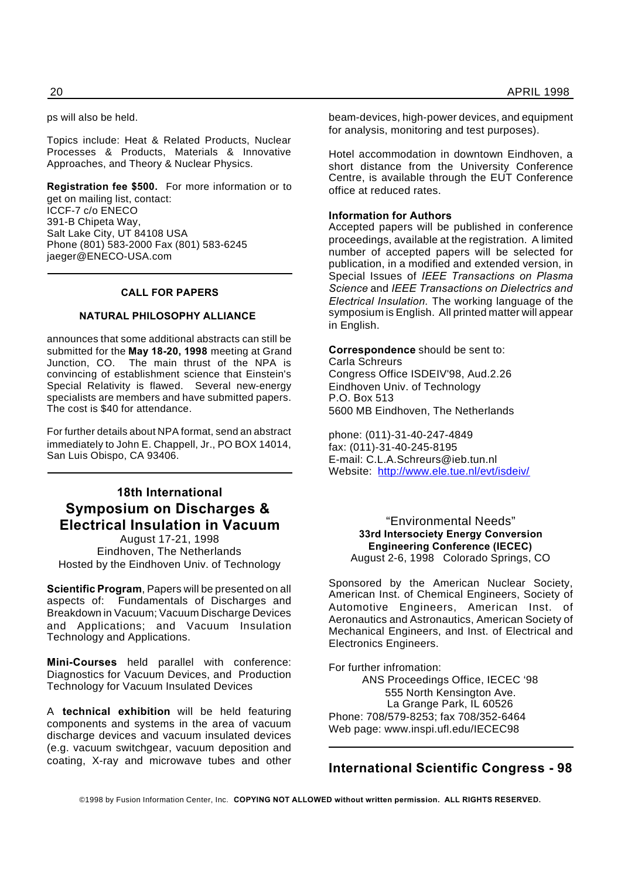ps will also be held.

Topics include: Heat & Related Products, Nuclear Processes & Products, Materials & Innovative Approaches, and Theory & Nuclear Physics.

**Registration fee \$500.** For more information or to get on mailing list, contact: ICCF-7 c/o ENECO 391-B Chipeta Way, Salt Lake City, UT 84108 USA Phone (801) 583-2000 Fax (801) 583-6245 jaeger@ENECO-USA.com

#### **CALL FOR PAPERS**

#### **NATURAL PHILOSOPHY ALLIANCE**

announces that some additional abstracts can still be submitted for the **May 18-20, 1998** meeting at Grand Junction, CO. The main thrust of the NPA is convincing of establishment science that Einstein's Special Relativity is flawed. Several new-energy specialists are members and have submitted papers. The cost is \$40 for attendance.

For further details about NPA format, send an abstract immediately to John E. Chappell, Jr., PO BOX 14014, San Luis Obispo, CA 93406.

### **18th International Symposium on Discharges & Electrical Insulation in Vacuum**

August 17-21, 1998 Eindhoven, The Netherlands Hosted by the Eindhoven Univ. of Technology

**Scientific Program**, Papers will be presented on all aspects of: Fundamentals of Discharges and Breakdown in Vacuum; Vacuum Discharge Devices and Applications; and Vacuum Insulation Technology and Applications.

**Mini-Courses** held parallel with conference: Diagnostics for Vacuum Devices, and Production Technology for Vacuum Insulated Devices

A **technical exhibition** will be held featuring components and systems in the area of vacuum discharge devices and vacuum insulated devices (e.g. vacuum switchgear, vacuum deposition and coating, X-ray and microwave tubes and other beam-devices, high-power devices, and equipment for analysis, monitoring and test purposes).

Hotel accommodation in downtown Eindhoven, a short distance from the University Conference Centre, is available through the EUT Conference office at reduced rates.

#### **Information for Authors**

Accepted papers will be published in conference proceedings, available at the registration. A limited number of accepted papers will be selected for publication, in a modified and extended version, in Special Issues of *IEEE Transactions on Plasma Science* and *IEEE Transactions on Dielectrics and Electrical Insulation.* The working language of the symposium is English. All printed matter will appear in English.

#### **Correspondence** should be sent to:

Carla Schreurs Congress Office ISDEIV'98, Aud.2.26 Eindhoven Univ. of Technology P.O. Box 513 5600 MB Eindhoven, The Netherlands

phone: (011)-31-40-247-4849 fax: (011)-31-40-245-8195 E-mail: C.L.A.Schreurs@ieb.tun.nl Website: http://www.ele.tue.nl/evt/isdeiv/

#### "Environmental Needs" **33rd Intersociety Energy Conversion Engineering Conference (IECEC)** August 2-6, 1998 Colorado Springs, CO

Sponsored by the American Nuclear Society, American Inst. of Chemical Engineers, Society of Automotive Engineers, American Inst. of Aeronautics and Astronautics, American Society of Mechanical Engineers, and Inst. of Electrical and Electronics Engineers.

For further infromation: ANS Proceedings Office, IECEC '98 555 North Kensington Ave. La Grange Park, IL 60526 Phone: 708/579-8253; fax 708/352-6464 Web page: www.inspi.ufl.edu/IECEC98

#### **International Scientific Congress - 98**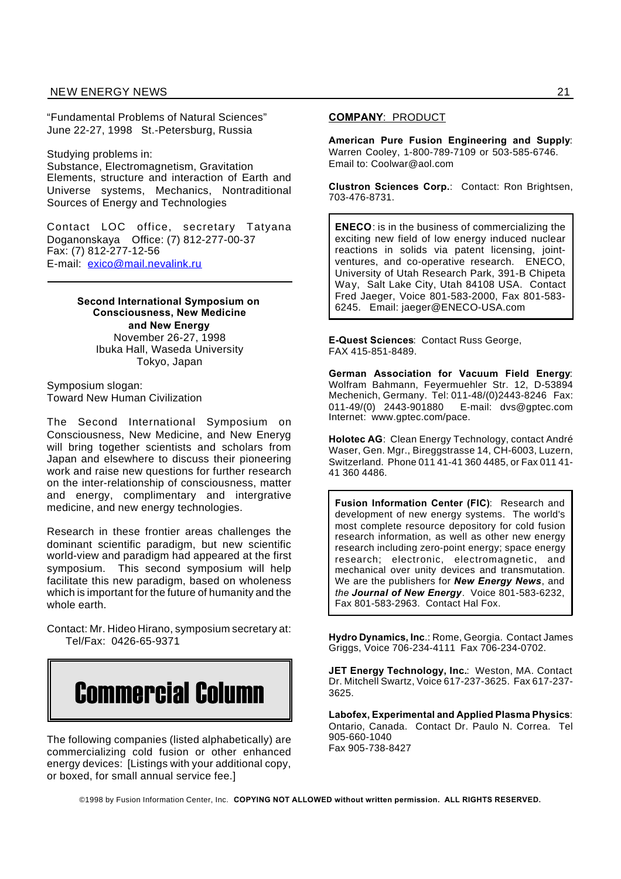"Fundamental Problems of Natural Sciences" June 22-27, 1998 St.-Petersburg, Russia

Studying problems in:

Substance, Electromagnetism, Gravitation Elements, structure and interaction of Earth and Universe systems, Mechanics, Nontraditional Sources of Energy and Technologies

Contact LOC office, secretary Tatyana Doganonskaya Office: (7) 812-277-00-37 Fax: (7) 812-277-12-56 E-mail: exico@mail.nevalink.ru

> **Second International Symposium on Consciousness, New Medicine and New Energy** November 26-27, 1998 Ibuka Hall, Waseda University Tokyo, Japan

Symposium slogan: Toward New Human Civilization

The Second International Symposium on Consciousness, New Medicine, and New Eneryg will bring together scientists and scholars from Japan and elsewhere to discuss their pioneering work and raise new questions for further research on the inter-relationship of consciousness, matter and energy, complimentary and intergrative medicine, and new energy technologies.

Research in these frontier areas challenges the dominant scientific paradigm, but new scientific world-view and paradigm had appeared at the first symposium. This second symposium will help facilitate this new paradigm, based on wholeness which is important for the future of humanity and the whole earth.

Contact: Mr. Hideo Hirano, symposium secretary at: Tel/Fax: 0426-65-9371



The following companies (listed alphabetically) are commercializing cold fusion or other enhanced energy devices: [Listings with your additional copy, or boxed, for small annual service fee.]

#### **COMPANY**: PRODUCT

**American Pure Fusion Engineering and Supply**: Warren Cooley, 1-800-789-7109 or 503-585-6746. Email to: Coolwar@aol.com

**Clustron Sciences Corp.**: Contact: Ron Brightsen, 703-476-8731.

**ENECO**: is in the business of commercializing the exciting new field of low energy induced nuclear reactions in solids via patent licensing, jointventures, and co-operative research. ENECO, University of Utah Research Park, 391-B Chipeta Way, Salt Lake City, Utah 84108 USA. Contact Fred Jaeger, Voice 801-583-2000, Fax 801-583- 6245. Email: jaeger@ENECO-USA.com

**E-Quest Sciences**: Contact Russ George, FAX 415-851-8489.

**German Association for Vacuum Field Energy**: Wolfram Bahmann, Feyermuehler Str. 12, D-53894 Mechenich, Germany. Tel: 011-48/(0)2443-8246 Fax: 011-49/(0) 2443-901880 E-mail: dvs@gptec.com Internet: www.gptec.com/pace.

**Holotec AG**: Clean Energy Technology, contact André Waser, Gen. Mgr., Bireggstrasse 14, CH-6003, Luzern, Switzerland. Phone 011 41-41 360 4485, or Fax 011 41- 41 360 4486.

**Fusion Information Center (FIC)**: Research and development of new energy systems. The world's most complete resource depository for cold fusion research information, as well as other new energy research including zero-point energy; space energy research; electronic, electromagnetic, and mechanical over unity devices and transmutation. We are the publishers for *New Energy News*, and *the Journal of New Energy.* Voice 801-583-6232, Fax 801-583-2963. Contact Hal Fox.

**Hydro Dynamics, Inc**.: Rome, Georgia. Contact James Griggs, Voice 706-234-4111 Fax 706-234-0702.

**JET Energy Technology, Inc.**: Weston, MA. Contact Dr. Mitchell Swartz, Voice 617-237-3625. Fax 617-237- 3625.

**Labofex, Experimental and Applied Plasma Physics**: Ontario, Canada. Contact Dr. Paulo N. Correa. Tel 905-660-1040 Fax 905-738-8427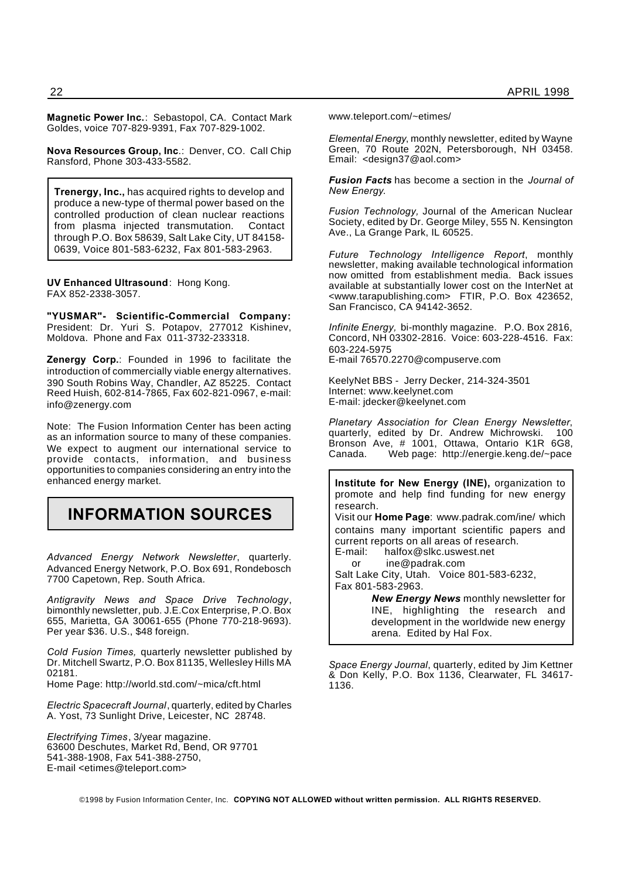**Magnetic Power Inc.**: Sebastopol, CA. Contact Mark Goldes, voice 707-829-9391, Fax 707-829-1002.

**Nova Resources Group, Inc**.: Denver, CO. Call Chip Ransford, Phone 303-433-5582.

**Trenergy, Inc.,** has acquired rights to develop and produce a new-type of thermal power based on the controlled production of clean nuclear reactions from plasma injected transmutation. Contact through P.O. Box 58639, Salt Lake City, UT 84158- 0639, Voice 801-583-6232, Fax 801-583-2963.

**UV Enhanced Ultrasound**: Hong Kong. FAX 852-2338-3057.

**"YUSMAR"- Scientific-Commercial Company:** President: Dr. Yuri S. Potapov, 277012 Kishinev, Moldova. Phone and Fax 011-3732-233318.

**Zenergy Corp.**: Founded in 1996 to facilitate the introduction of commercially viable energy alternatives. 390 South Robins Way, Chandler, AZ 85225. Contact Reed Huish, 602-814-7865, Fax 602-821-0967, e-mail: info@zenergy.com

Note: The Fusion Information Center has been acting as an information source to many of these companies. We expect to augment our international service to provide contacts, information, and business opportunities to companies considering an entry into the enhanced energy market.

## **INFORMATION SOURCES**

*Advanced Energy Network Newsletter*, quarterly. Advanced Energy Network, P.O. Box 691, Rondebosch 7700 Capetown, Rep. South Africa.

*Antigravity News and Space Drive Technology*, bimonthly newsletter, pub. J.E.Cox Enterprise, P.O. Box 655, Marietta, GA 30061-655 (Phone 770-218-9693). Per year \$36. U.S., \$48 foreign.

*Cold Fusion Times,* quarterly newsletter published by Dr. Mitchell Swartz, P.O. Box 81135, Wellesley Hills MA 02181.

Home Page: http://world.std.com/~mica/cft.html

*Electric Spacecraft Journal*, quarterly, edited by Charles A. Yost, 73 Sunlight Drive, Leicester, NC 28748.

*Electrifying Times*, 3/year magazine. 63600 Deschutes, Market Rd, Bend, OR 97701 541-388-1908, Fax 541-388-2750, E-mail <etimes@teleport.com>

www.teleport.com/~etimes/

*Elemental Energy*, monthly newsletter, edited by Wayne Green, 70 Route 202N, Petersborough, NH 03458. Email: <design37@aol.com>

*Fusion Facts* has become a section in the *Journal of New Energy*.

*Fusion Technology,* Journal of the American Nuclear Society, edited by Dr. George Miley, 555 N. Kensington Ave., La Grange Park, IL 60525.

*Future Technology Intelligence Report*, monthly newsletter, making available technological information now omitted from establishment media. Back issues available at substantially lower cost on the InterNet at <www.tarapublishing.com> FTIR, P.O. Box 423652, San Francisco, CA 94142-3652.

*Infinite Energy,* bi-monthly magazine. P.O. Box 2816, Concord, NH 03302-2816. Voice: 603-228-4516. Fax: 603-224-5975 E-mail 76570.2270@compuserve.com

KeelyNet BBS - Jerry Decker, 214-324-3501 Internet: www.keelynet.com E-mail: jdecker@keelynet.com

*Planetary Association for Clean Energy Newsletter*, quarterly, edited by Dr. Andrew Michrowski. 100 Bronson Ave, # 1001, Ottawa, Ontario K1R 6G8,<br>Canada. Web page: http://energie.keng.de/~pace Web page: http://energie.keng.de/~pace

**Institute for New Energy (INE),** organization to promote and help find funding for new energy research.

Visit our **Home Page**: www.padrak.com/ine/ which contains many important scientific papers and current reports on all areas of research.

E-mail: halfox@slkc.uswest.net

or ine@padrak.com

Salt Lake City, Utah. Voice 801-583-6232, Fax 801-583-2963.

> *New Energy News* monthly newsletter for INE, highlighting the research and development in the worldwide new energy arena. Edited by Hal Fox.

*Space Energy Journal*, quarterly, edited by Jim Kettner & Don Kelly, P.O. Box 1136, Clearwater, FL 34617- 1136.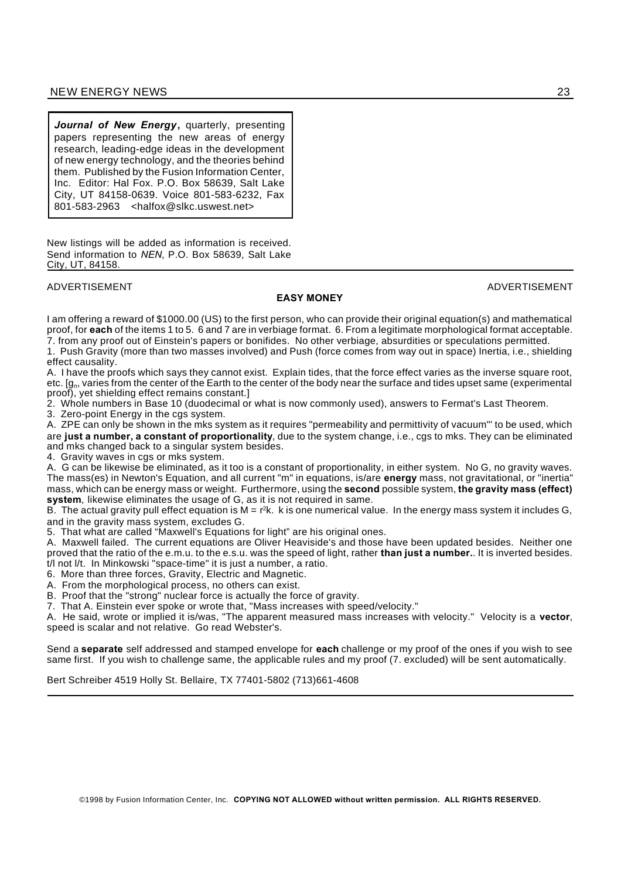*Journal of New Energy***,** quarterly, presenting papers representing the new areas of energy research, leading-edge ideas in the development of new energy technology, and the theories behind them. Published by the Fusion Information Center, Inc. Editor: Hal Fox. P.O. Box 58639, Salt Lake City, UT 84158-0639. Voice 801-583-6232, Fax 801-583-2963 <halfox@slkc.uswest.net>

New listings will be added as information is received. Send information to *NEN*, P.O. Box 58639, Salt Lake City, UT, 84158.

#### ADVERTISEMENT ADVERTISEMENT

#### **EASY MONEY**

I am offering a reward of \$1000.00 (US) to the first person, who can provide their original equation(s) and mathematical proof, for **each** of the items 1 to 5. 6 and 7 are in verbiage format. 6. From a legitimate morphological format acceptable. 7. from any proof out of Einstein's papers or bonifides. No other verbiage, absurdities or speculations permitted.

1. Push Gravity (more than two masses involved) and Push (force comes from way out in space) Inertia, i.e., shielding effect causality.

A. I have the proofs which says they cannot exist. Explain tides, that the force effect varies as the inverse square root, etc. [g<sub>n</sub>, varies from the center of the Earth to the center of the body near the surface and tides upset same (experimental proof), yet shielding effect remains constant.]

2. Whole numbers in Base 10 (duodecimal or what is now commonly used), answers to Fermat's Last Theorem.

3. Zero-point Energy in the cgs system.

A. ZPE can only be shown in the mks system as it requires "permeability and permittivity of vacuum"' to be used, which are **just a number, a constant of proportionality**, due to the system change, i.e., cgs to mks. They can be eliminated and mks changed back to a singular system besides.

4. Gravity waves in cgs or mks system.

A. G can be likewise be eliminated, as it too is a constant of proportionality, in either system. No G, no gravity waves. The mass(es) in Newton's Equation, and all current "m" in equations, is/are **energy** mass, not gravitational, or "inertia" mass, which can be energy mass or weight. Furthermore, using the **second** possible system, **the gravity mass (effect) system**, likewise eliminates the usage of G, as it is not required in same.

B. The actual gravity pull effect equation is M = r²k. k is one numerical value. In the energy mass system it includes G, and in the gravity mass system, excludes G.

5. That what are called "Maxwell's Equations for light" are his original ones.

A. Maxwell failed. The current equations are Oliver Heaviside's and those have been updated besides. Neither one proved that the ratio of the e.m.u. to the e.s.u. was the speed of light, rather **than just a number.**. It is inverted besides. t/l not l/t. In Minkowski "space-time" it is just a number, a ratio.

6. More than three forces, Gravity, Electric and Magnetic.

A. From the morphological process, no others can exist.

B. Proof that the "strong" nuclear force is actually the force of gravity.

7. That A. Einstein ever spoke or wrote that, "Mass increases with speed/velocity."

A. He said, wrote or implied it is/was, "The apparent measured mass increases with velocity." Velocity is a **vector**, speed is scalar and not relative. Go read Webster's.

Send a **separate** self addressed and stamped envelope for **each** challenge or my proof of the ones if you wish to see same first. If you wish to challenge same, the applicable rules and my proof (7. excluded) will be sent automatically.

Bert Schreiber 4519 Holly St. Bellaire, TX 77401-5802 (713)661-4608